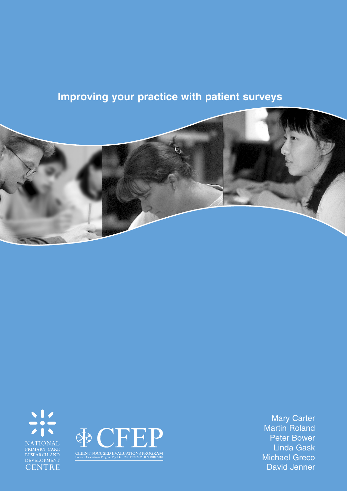# **Improving your practice with patient surveys**







Mary Carter Martin Roland Peter Bower Linda Gask Michael Greco David Jenner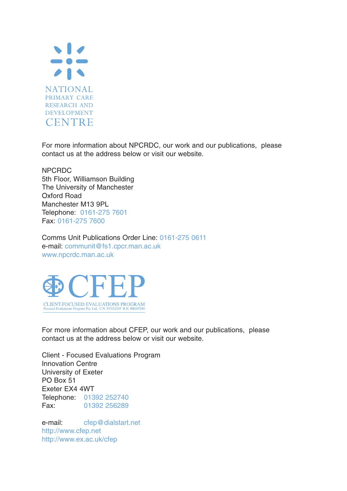

For more information about NPCRDC, our work and our publications, please contact us at the address below or visit our website.

NPCRDC 5th Floor, Williamson Building The University of Manchester Oxford Road Manchester M13 9PL Telephone: 0161-275 7601 Fax: 0161-275 7600

Comms Unit Publications Order Line: 0161-275 0611 e-mail: communit@fs1.cpcr.man.ac.uk www.npcrdc.man.ac.uk



For more information about CFEP, our work and our publications, please contact us at the address below or visit our website.

Client - Focused Evaluations Program Innovation Centre University of Exeter PO Box 51 Exeter EX4 4WT Telephone: 01392 252740 Fax: 01392 256289

e-mail: cfep@dialstart.net http://www.cfep.net http://www.ex.ac.uk/cfep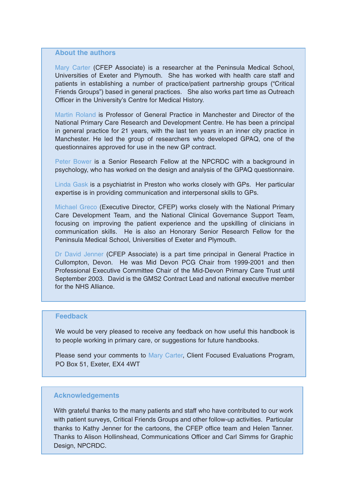#### **About the authors**

Mary Carter (CFEP Associate) is a researcher at the Peninsula Medical School, Universities of Exeter and Plymouth. She has worked with health care staff and patients in establishing a number of practice/patient partnership groups ("Critical Friends Groups") based in general practices. She also works part time as Outreach Officer in the University's Centre for Medical History.

Martin Roland is Professor of General Practice in Manchester and Director of the National Primary Care Research and Development Centre. He has been a principal in general practice for 21 years, with the last ten years in an inner city practice in Manchester. He led the group of researchers who developed GPAQ, one of the questionnaires approved for use in the new GP contract.

Peter Bower is a Senior Research Fellow at the NPCRDC with a background in psychology, who has worked on the design and analysis of the GPAQ questionnaire.

Linda Gask is a psychiatrist in Preston who works closely with GPs. Her particular expertise is in providing communication and interpersonal skills to GPs.

Michael Greco (Executive Director, CFEP) works closely with the National Primary Care Development Team, and the National Clinical Governance Support Team, focusing on improving the patient experience and the upskilling of clinicians in communication skills. He is also an Honorary Senior Research Fellow for the Peninsula Medical School, Universities of Exeter and Plymouth.

Dr David Jenner (CFEP Associate) is a part time principal in General Practice in Cullompton, Devon. He was Mid Devon PCG Chair from 1999-2001 and then Professional Executive Committee Chair of the Mid-Devon Primary Care Trust until September 2003. David is the GMS2 Contract Lead and national executive member for the NHS Alliance.

#### **Feedback**

We would be very pleased to receive any feedback on how useful this handbook is to people working in primary care, or suggestions for future handbooks.

Please send your comments to Mary Carter, Client Focused Evaluations Program, PO Box 51, Exeter, EX4 4WT

#### **Acknowledgements**

With grateful thanks to the many patients and staff who have contributed to our work with patient surveys, Critical Friends Groups and other follow-up activities. Particular thanks to Kathy Jenner for the cartoons, the CFEP office team and Helen Tanner. Thanks to Alison Hollinshead, Communications Officer and Carl Simms for Graphic Design, NPCRDC.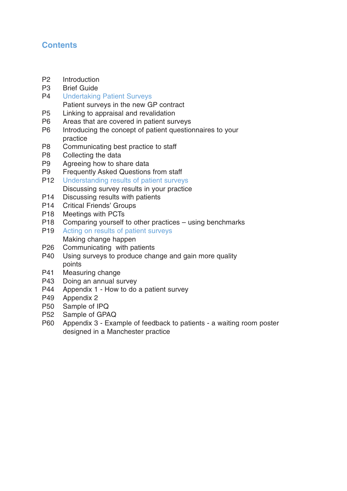## **Contents**

- P2 Introduction
- P3 Brief Guide
- P4 Undertaking Patient Surveys Patient surveys in the new GP contract
- P5 Linking to appraisal and revalidation
- P6 Areas that are covered in patient surveys
- P6 Introducing the concept of patient questionnaires to your practice
- P8 Communicating best practice to staff
- P8 Collecting the data
- P9 Agreeing how to share data
- P9 Frequently Asked Questions from staff<br>P12 Understanding results of patient survey
- Understanding results of patient surveys Discussing survey results in your practice
- P14 Discussing results with patients
- P14 Critical Friends' Groups
- P18 Meetings with PCTs
- P18 Comparing yourself to other practices using benchmarks
- P19 Acting on results of patient surveys Making change happen
- P26 Communicating with patients
- P40 Using surveys to produce change and gain more quality points
- P41 Measuring change
- P43 Doing an annual survey
- P44 Appendix 1 How to do a patient survey
- P49 Appendix 2
- P50 Sample of IPQ
- P52 Sample of GPAQ
- P60 Appendix 3 Example of feedback to patients a waiting room poster designed in a Manchester practice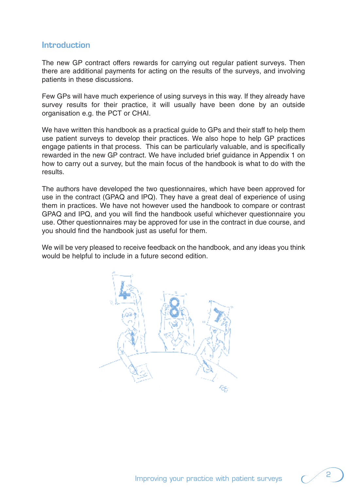## **Introduction**

The new GP contract offers rewards for carrying out regular patient surveys. Then there are additional payments for acting on the results of the surveys, and involving patients in these discussions.

Few GPs will have much experience of using surveys in this way. If they already have survey results for their practice, it will usually have been done by an outside organisation e.g. the PCT or CHAI.

We have written this handbook as a practical guide to GPs and their staff to help them use patient surveys to develop their practices. We also hope to help GP practices engage patients in that process. This can be particularly valuable, and is specifically rewarded in the new GP contract. We have included brief guidance in Appendix 1 on how to carry out a survey, but the main focus of the handbook is what to do with the results.

The authors have developed the two questionnaires, which have been approved for use in the contract (GPAQ and IPQ). They have a great deal of experience of using them in practices. We have not however used the handbook to compare or contrast GPAQ and IPQ, and you will find the handbook useful whichever questionnaire you use. Other questionnaires may be approved for use in the contract in due course, and you should find the handbook just as useful for them.

We will be very pleased to receive feedback on the handbook, and any ideas you think would be helpful to include in a future second edition.

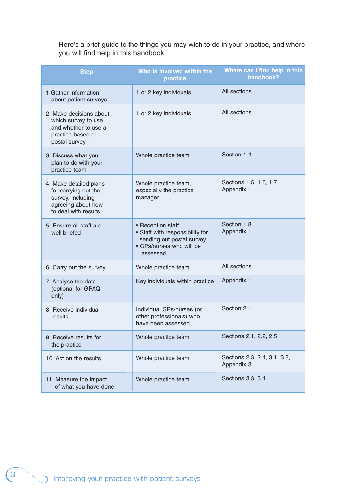Here's a brief guide to the things you may wish to do in your practice, and where you will find help in this handbook

| <b>Step</b>                                                                                                       | Who is involved within the<br>practice                                                                                    | Where can I find help in this<br>handbook? |  |  |
|-------------------------------------------------------------------------------------------------------------------|---------------------------------------------------------------------------------------------------------------------------|--------------------------------------------|--|--|
| 1. Gather information<br>about patient surveys                                                                    | 1 or 2 key individuals                                                                                                    | All sections                               |  |  |
| 2. Make decisions about<br>which survey to use<br>and whether to use a<br>practice-based or<br>postal survey      | 1 or 2 key individuals                                                                                                    | All sections                               |  |  |
| 3. Discuss what you<br>plan to do with your<br>practice team                                                      | Whole practice team                                                                                                       | Section 1.4                                |  |  |
| 4. Make detailed plans<br>for carrying out the<br>survey, including<br>agreeing about how<br>to deal with results | Whole practice team,<br>especially the practice<br>manager                                                                | Sections 1.5, 1.6, 1.7<br>Appendix 1       |  |  |
| 5. Ensure all staff are<br>well briefed                                                                           | • Reception staff<br>• Staff with responsibility for<br>sending out postal survey<br>• GPs/nurses who will be<br>assessed | Section 1.8<br>Appendix 1                  |  |  |
| 6. Carry out the survey                                                                                           | Whole practice team                                                                                                       | All sections                               |  |  |
| 7. Analyse the data<br>(optional for GPAQ<br>only)                                                                | Key individuals within practice                                                                                           | Appendix 1                                 |  |  |
| 8. Receive individual<br>results                                                                                  | Individual GPs/nurses (or<br>other professionals) who<br>have been assessed                                               | Section 2.1                                |  |  |
| 9. Receive results for<br>the practice                                                                            | Whole practice team                                                                                                       | Sections 2.1, 2.2, 2.5                     |  |  |
| 10. Act on the results                                                                                            | Whole practice team                                                                                                       | Sections 2.3, 2.4, 3.1, 3.2,<br>Appendix 3 |  |  |
| 11. Measure the impact<br>of what you have done                                                                   | Whole practice team                                                                                                       | Sections 3.3, 3.4                          |  |  |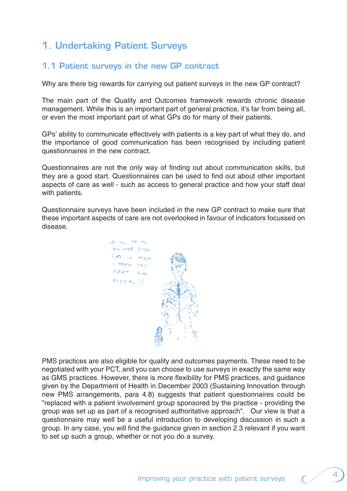# **1. Undertaking Patient Surveys**

## **1.1 Patient surveys in the new GP contract**

Why are there big rewards for carrying out patient surveys in the new GP contract?

The main part of the Quality and Outcomes framework rewards chronic disease management. While this is an important part of general practice, it's far from being all, or even the most important part of what GPs do for many of their patients.

GPs' ability to communicate effectively with patients is a key part of what they do, and the importance of good communication has been recognised by including patient questionnaires in the new contract.

Questionnaires are not the only way of finding out about communication skills, but they are a good start. Questionnaires can be used to find out about other important aspects of care as well - such as access to general practice and how your staff deal with patients.

Questionnaire surveys have been included in the new GP contract to make sure that these important aspects of care are not overlooked in favour of indicators focussed on disease.

in the TRINA **NO ARE SON SIPO** TO HOUN  $\epsilon$  Hospitalis  $B_1E_2A_3=0$  $e_{L}e_{\pi,\sigma_{L}}/f$ 

PMS practices are also eligible for quality and outcomes payments. These need to be negotiated with your PCT, and you can choose to use surveys in exactly the same way as GMS practices. However, there is more flexibility for PMS practices, and guidance given by the Department of Health in December 2003 (Sustaining Innovation through new PMS arrangements, para 4.8) suggests that patient questionnaires could be "replaced with a patient involvement group sponsored by the practice - providing the group was set up as part of a recognised authoritative approach". Our view is that a questionnaire may well be a useful introduction to developing discussion in such a group. In any case, you will find the guidance given in section 2.3 relevant if you want to set up such a group, whether or not you do a survey.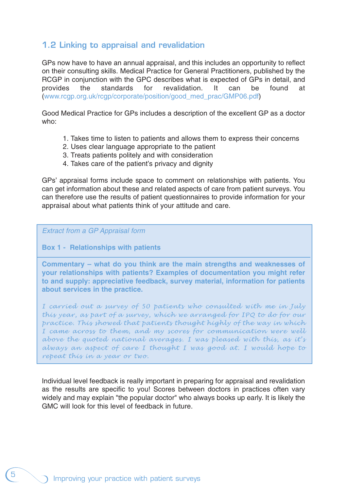## **1.2 Linking to appraisal and revalidation**

GPs now have to have an annual appraisal, and this includes an opportunity to reflect on their consulting skills. Medical Practice for General Practitioners, published by the RCGP in conjunction with the GPC describes what is expected of GPs in detail, and provides the standards for revalidation. It can be found at (www.rcgp.org.uk/rcgp/corporate/position/good\_med\_prac/GMP06.pdf)

Good Medical Practice for GPs includes a description of the excellent GP as a doctor who:

- 1. Takes time to listen to patients and allows them to express their concerns
- 2. Uses clear language appropriate to the patient
- 3. Treats patients politely and with consideration
- 4. Takes care of the patient's privacy and dignity

GPs' appraisal forms include space to comment on relationships with patients. You can get information about these and related aspects of care from patient surveys. You can therefore use the results of patient questionnaires to provide information for your appraisal about what patients think of your attitude and care.

#### Extract from a GP Appraisal form

## **Box 1 - Relationships with patients**

**Commentary – what do you think are the main strengths and weaknesses of your relationships with patients? Examples of documentation you might refer to and supply: appreciative feedback, survey material, information for patients about services in the practice.**

*I carried out a survey of 50 patients who consulted with me in July this year, as part of a survey, which we arranged for IPQ to do for our practice. This showed that patients thought highly of the way in which I came across to them, and my scores for communication were well above the quoted national averages. I was pleased with this, as it's always an aspect of care I thought I was good at. I would hope to repeat this in a year or two.*

Individual level feedback is really important in preparing for appraisal and revalidation as the results are specific to you! Scores between doctors in practices often vary widely and may explain "the popular doctor" who always books up early. It is likely the GMC will look for this level of feedback in future.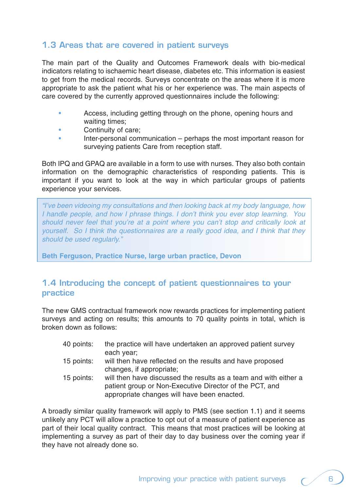## **1.3 Areas that are covered in patient surveys**

The main part of the Quality and Outcomes Framework deals with bio-medical indicators relating to ischaemic heart disease, diabetes etc. This information is easiest to get from the medical records. Surveys concentrate on the areas where it is more appropriate to ask the patient what his or her experience was. The main aspects of care covered by the currently approved questionnaires include the following:

- Access, including getting through on the phone, opening hours and waiting times;
- Continuity of care;
- Inter-personal communication perhaps the most important reason for surveying patients Care from reception staff.

Both IPQ and GPAQ are available in a form to use with nurses. They also both contain information on the demographic characteristics of responding patients. This is important if you want to look at the way in which particular groups of patients experience your services.

"I've been videoing my consultations and then looking back at my body language, how I handle people, and how I phrase things. I don't think you ever stop learning. You should never feel that you're at a point where you can't stop and critically look at yourself. So I think the questionnaires are a really good idea, and I think that they should be used regularly."

**Beth Ferguson, Practice Nurse, large urban practice, Devon**

## **1.4 Introducing the concept of patient questionnaires to your practice**

The new GMS contractual framework now rewards practices for implementing patient surveys and acting on results; this amounts to 70 quality points in total, which is broken down as follows:

- 40 points: the practice will have undertaken an approved patient survey each year; 15 points: will then have reflected on the results and have proposed changes, if appropriate; 15 points: will then have discussed the results as a team and with either a
	- patient group or Non-Executive Director of the PCT, and appropriate changes will have been enacted.

A broadly similar quality framework will apply to PMS (see section 1.1) and it seems unlikely any PCT will allow a practice to opt out of a measure of patient experience as part of their local quality contract. This means that most practices will be looking at implementing a survey as part of their day to day business over the coming year if they have not already done so.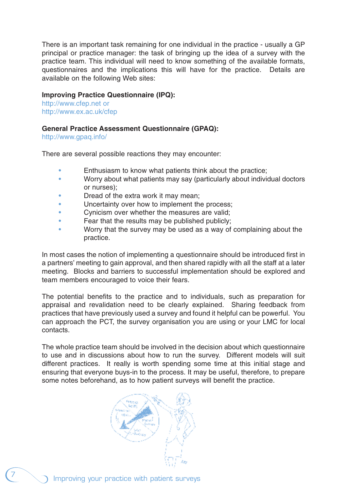There is an important task remaining for one individual in the practice - usually a GP principal or practice manager: the task of bringing up the idea of a survey with the practice team. This individual will need to know something of the available formats, questionnaires and the implications this will have for the practice. Details are available on the following Web sites:

## **Improving Practice Questionnaire (IPQ):**

http://www.cfep.net or http://www.ex.ac.uk/cfep

#### **General Practice Assessment Questionnaire (GPAQ):**

http://www.gpaq.info/

There are several possible reactions they may encounter:

- Enthusiasm to know what patients think about the practice;
- Worry about what patients may say (particularly about individual doctors or nurses);
- Dread of the extra work it may mean;
- Uncertainty over how to implement the process:
- Cynicism over whether the measures are valid;
- Fear that the results may be published publicly;
- Worry that the survey may be used as a way of complaining about the practice.

In most cases the notion of implementing a questionnaire should be introduced first in a partners' meeting to gain approval, and then shared rapidly with all the staff at a later meeting. Blocks and barriers to successful implementation should be explored and team members encouraged to voice their fears.

The potential benefits to the practice and to individuals, such as preparation for appraisal and revalidation need to be clearly explained. Sharing feedback from practices that have previously used a survey and found it helpful can be powerful. You can approach the PCT, the survey organisation you are using or your LMC for local contacts.

The whole practice team should be involved in the decision about which questionnaire to use and in discussions about how to run the survey. Different models will suit different practices. It really is worth spending some time at this initial stage and ensuring that everyone buys-in to the process. It may be useful, therefore, to prepare some notes beforehand, as to how patient surveys will benefit the practice.

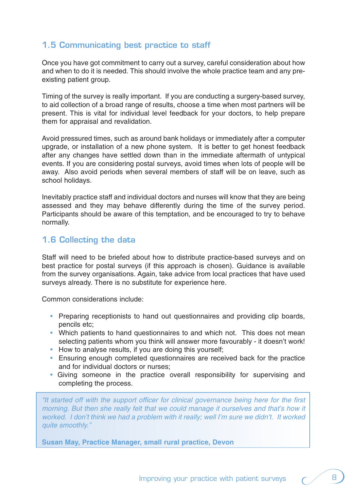## **1.5 Communicating best practice to staff**

Once you have got commitment to carry out a survey, careful consideration about how and when to do it is needed. This should involve the whole practice team and any preexisting patient group.

Timing of the survey is really important. If you are conducting a surgery-based survey, to aid collection of a broad range of results, choose a time when most partners will be present. This is vital for individual level feedback for your doctors, to help prepare them for appraisal and revalidation.

Avoid pressured times, such as around bank holidays or immediately after a computer upgrade, or installation of a new phone system. It is better to get honest feedback after any changes have settled down than in the immediate aftermath of untypical events. If you are considering postal surveys, avoid times when lots of people will be away. Also avoid periods when several members of staff will be on leave, such as school holidays.

Inevitably practice staff and individual doctors and nurses will know that they are being assessed and they may behave differently during the time of the survey period. Participants should be aware of this temptation, and be encouraged to try to behave normally.

## **1.6 Collecting the data**

Staff will need to be briefed about how to distribute practice-based surveys and on best practice for postal surveys (if this approach is chosen). Guidance is available from the survey organisations. Again, take advice from local practices that have used surveys already. There is no substitute for experience here.

Common considerations include:

- Preparing receptionists to hand out questionnaires and providing clip boards, pencils etc;
- Which patients to hand questionnaires to and which not. This does not mean selecting patients whom you think will answer more favourably - it doesn't work!
- How to analyse results, if you are doing this yourself:
- Ensuring enough completed questionnaires are received back for the practice and for individual doctors or nurses;
- Giving someone in the practice overall responsibility for supervising and completing the process.

"It started off with the support officer for clinical governance being here for the first morning. But then she really felt that we could manage it ourselves and that's how it worked. I don't think we had a problem with it really; well I'm sure we didn't. It worked quite smoothly."

**Susan May, Practice Manager, small rural practice, Devon**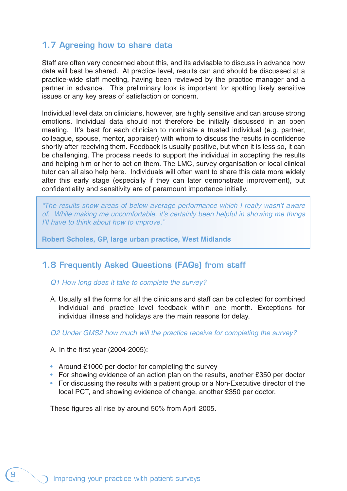## **1.7 Agreeing how to share data**

Staff are often very concerned about this, and its advisable to discuss in advance how data will best be shared. At practice level, results can and should be discussed at a practice-wide staff meeting, having been reviewed by the practice manager and a partner in advance. This preliminary look is important for spotting likely sensitive issues or any key areas of satisfaction or concern.

Individual level data on clinicians, however, are highly sensitive and can arouse strong emotions. Individual data should not therefore be initially discussed in an open meeting. It's best for each clinician to nominate a trusted individual (e.g. partner, colleague, spouse, mentor, appraiser) with whom to discuss the results in confidence shortly after receiving them. Feedback is usually positive, but when it is less so, it can be challenging. The process needs to support the individual in accepting the results and helping him or her to act on them. The LMC, survey organisation or local clinical tutor can all also help here. Individuals will often want to share this data more widely after this early stage (especially if they can later demonstrate improvement), but confidentiality and sensitivity are of paramount importance initially.

"The results show areas of below average performance which I really wasn't aware of. While making me uncomfortable, it's certainly been helpful in showing me things I'll have to think about how to improve."

**Robert Scholes, GP, large urban practice, West Midlands**

## **1.8 Frequently Asked Questions (FAQs) from staff**

## Q1 How long does it take to complete the survey?

A. Usually all the forms for all the clinicians and staff can be collected for combined individual and practice level feedback within one month. Exceptions for individual illness and holidays are the main reasons for delay.

Q2 Under GMS2 how much will the practice receive for completing the survey?

A. In the first year (2004-2005):

- Around £1000 per doctor for completing the survey
- For showing evidence of an action plan on the results, another £350 per doctor
- For discussing the results with a patient group or a Non-Executive director of the local PCT, and showing evidence of change, another £350 per doctor.

These figures all rise by around 50% from April 2005.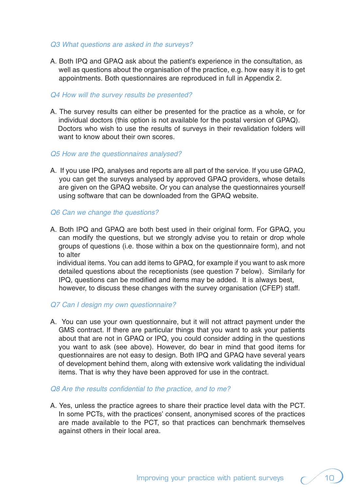#### Q3 What questions are asked in the surveys?

A. Both IPQ and GPAQ ask about the patient's experience in the consultation, as well as questions about the organisation of the practice, e.g. how easy it is to get appointments. Both questionnaires are reproduced in full in Appendix 2.

#### Q4 How will the survey results be presented?

A. The survey results can either be presented for the practice as a whole, or for individual doctors (this option is not available for the postal version of GPAQ). Doctors who wish to use the results of surveys in their revalidation folders will want to know about their own scores.

#### Q5 How are the questionnaires analysed?

A. If you use IPQ, analyses and reports are all part of the service. If you use GPAQ, you can get the surveys analysed by approved GPAQ providers, whose details are given on the GPAQ website. Or you can analyse the questionnaires yourself using software that can be downloaded from the GPAQ website.

## Q6 Can we change the questions?

A. Both IPQ and GPAQ are both best used in their original form. For GPAQ, you can modify the questions, but we strongly advise you to retain or drop whole groups of questions (i.e. those within a box on the questionnaire form), and not to alter

individual items. You can add items to GPAQ, for example if you want to ask more detailed questions about the receptionists (see question 7 below). Similarly for IPQ, questions can be modified and items may be added. It is always best, however, to discuss these changes with the survey organisation (CFEP) staff.

## Q7 Can I design my own questionnaire?

A. You can use your own questionnaire, but it will not attract payment under the GMS contract. If there are particular things that you want to ask your patients about that are not in GPAQ or IPQ, you could consider adding in the questions you want to ask (see above). However, do bear in mind that good items for questionnaires are not easy to design. Both IPQ and GPAQ have several years of development behind them, along with extensive work validating the individual items. That is why they have been approved for use in the contract.

#### Q8 Are the results confidential to the practice, and to me?

A. Yes, unless the practice agrees to share their practice level data with the PCT. In some PCTs, with the practices' consent, anonymised scores of the practices are made available to the PCT, so that practices can benchmark themselves against others in their local area.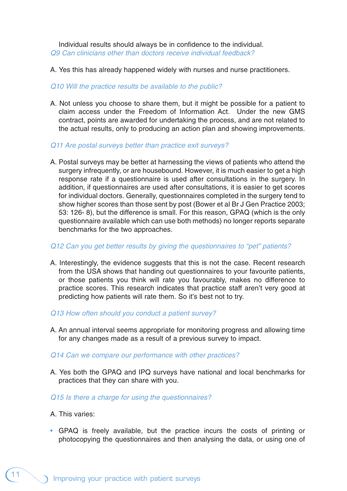Individual results should always be in confidence to the individual. Q9 Can clinicians other than doctors receive individual feedback?

A. Yes this has already happened widely with nurses and nurse practitioners.

## Q10 Will the practice results be available to the public?

- A. Not unless you choose to share them, but it might be possible for a patient to claim access under the Freedom of Information Act. Under the new GMS contract, points are awarded for undertaking the process, and are not related to the actual results, only to producing an action plan and showing improvements.
- Q11 Are postal surveys better than practice exit surveys?
- A. Postal surveys may be better at harnessing the views of patients who attend the surgery infrequently, or are housebound. However, it is much easier to get a high response rate if a questionnaire is used after consultations in the surgery. In addition, if questionnaires are used after consultations, it is easier to get scores for individual doctors. Generally, questionnaires completed in the surgery tend to show higher scores than those sent by post (Bower et al Br J Gen Practice 2003; 53: 126- 8), but the difference is small. For this reason, GPAQ (which is the only questionnaire available which can use both methods) no longer reports separate benchmarks for the two approaches.

## Q12 Can you get better results by giving the questionnaires to "pet" patients?

- A. Interestingly, the evidence suggests that this is not the case. Recent research from the USA shows that handing out questionnaires to your favourite patients, or those patients you think will rate you favourably, makes no difference to practice scores. This research indicates that practice staff aren't very good at predicting how patients will rate them. So it's best not to try.
- Q13 How often should you conduct a patient survey?
- A. An annual interval seems appropriate for monitoring progress and allowing time for any changes made as a result of a previous survey to impact.
- Q14 Can we compare our performance with other practices?
- A. Yes both the GPAQ and IPQ surveys have national and local benchmarks for practices that they can share with you.

## Q15 Is there a charge for using the questionnaires?

- A. This varies:
- GPAQ is freely available, but the practice incurs the costs of printing or photocopying the questionnaires and then analysing the data, or using one of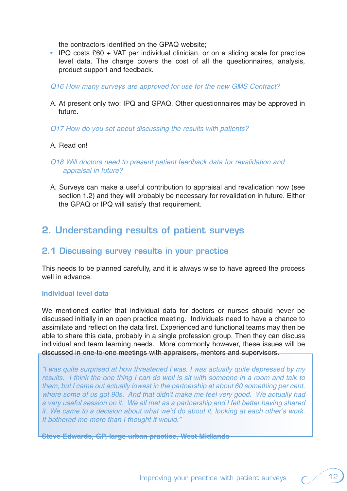the contractors identified on the GPAQ website;

- IPQ costs £60 + VAT per individual clinician, or on a sliding scale for practice level data. The charge covers the cost of all the questionnaires, analysis, product support and feedback.
- Q16 How many surveys are approved for use for the new GMS Contract?
- A. At present only two: IPQ and GPAQ. Other questionnaires may be approved in future.
- Q17 How do you set about discussing the results with patients?

## A. Read on!

## Q18 Will doctors need to present patient feedback data for revalidation and appraisal in future?

A. Surveys can make a useful contribution to appraisal and revalidation now (see section 1.2) and they will probably be necessary for revalidation in future. Either the GPAQ or IPQ will satisfy that requirement.

# **2. Understanding results of patient surveys**

## **2.1 Discussing survey results in your practice**

This needs to be planned carefully, and it is always wise to have agreed the process well in advance.

#### **Individual level data**

We mentioned earlier that individual data for doctors or nurses should never be discussed initially in an open practice meeting. Individuals need to have a chance to assimilate and reflect on the data first. Experienced and functional teams may then be able to share this data, probably in a single profession group. Then they can discuss individual and team learning needs. More commonly however, these issues will be discussed in one-to-one meetings with appraisers, mentors and supervisors.

"I was quite surprised at how threatened I was. I was actually quite depressed by my results. I think the one thing I can do well is sit with someone in a room and talk to them, but I came out actually lowest in the partnership at about 60 something per cent, where some of us got 90s. And that didn't make me feel very good. We actually had a very useful session on it. We all met as a partnership and I felt better having shared it. We came to a decision about what we'd do about it, looking at each other's work. It bothered me more than I thought it would."

**Steve Edwards, GP, large urban practice, West Midlands**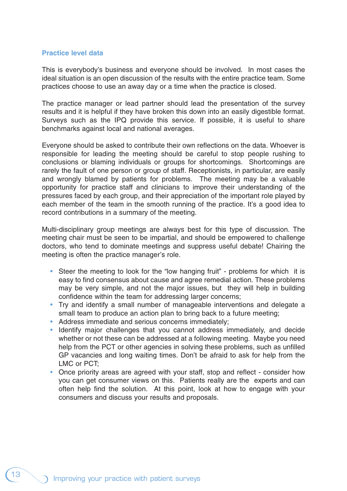#### **Practice level data**

This is everybody's business and everyone should be involved. In most cases the ideal situation is an open discussion of the results with the entire practice team. Some practices choose to use an away day or a time when the practice is closed.

The practice manager or lead partner should lead the presentation of the survey results and it is helpful if they have broken this down into an easily digestible format. Surveys such as the IPQ provide this service. If possible, it is useful to share benchmarks against local and national averages.

Everyone should be asked to contribute their own reflections on the data. Whoever is responsible for leading the meeting should be careful to stop people rushing to conclusions or blaming individuals or groups for shortcomings. Shortcomings are rarely the fault of one person or group of staff. Receptionists, in particular, are easily and wrongly blamed by patients for problems. The meeting may be a valuable opportunity for practice staff and clinicians to improve their understanding of the pressures faced by each group, and their appreciation of the important role played by each member of the team in the smooth running of the practice. It's a good idea to record contributions in a summary of the meeting.

Multi-disciplinary group meetings are always best for this type of discussion. The meeting chair must be seen to be impartial, and should be empowered to challenge doctors, who tend to dominate meetings and suppress useful debate! Chairing the meeting is often the practice manager's role.

- Steer the meeting to look for the "low hanging fruit" problems for which it is easy to find consensus about cause and agree remedial action. These problems may be very simple, and not the major issues, but they will help in building confidence within the team for addressing larger concerns;
- Try and identify a small number of manageable interventions and delegate a small team to produce an action plan to bring back to a future meeting;
- Address immediate and serious concerns immediately;
- Identify major challenges that you cannot address immediately, and decide whether or not these can be addressed at a following meeting. Maybe you need help from the PCT or other agencies in solving these problems, such as unfilled GP vacancies and long waiting times. Don't be afraid to ask for help from the LMC or PCT;
- Once priority areas are agreed with your staff, stop and reflect consider how you can get consumer views on this. Patients really are the experts and can often help find the solution. At this point, look at how to engage with your consumers and discuss your results and proposals.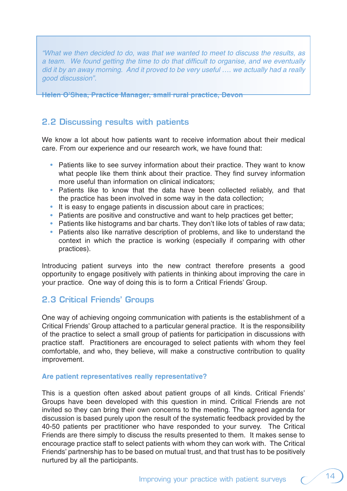"What we then decided to do, was that we wanted to meet to discuss the results, as a team. We found getting the time to do that difficult to organise, and we eventually did it by an away morning. And it proved to be very useful …. we actually had a really good discussion".

**Helen O'Shea, Practice Manager, small rural practice, Devon**

## **2.2 Discussing results with patients**

We know a lot about how patients want to receive information about their medical care. From our experience and our research work, we have found that:

- Patients like to see survey information about their practice. They want to know what people like them think about their practice. They find survey information more useful than information on clinical indicators;
- Patients like to know that the data have been collected reliably, and that the practice has been involved in some way in the data collection;
- It is easy to engage patients in discussion about care in practices;
- Patients are positive and constructive and want to help practices get better;
- Patients like histograms and bar charts. They don't like lots of tables of raw data;
- Patients also like narrative description of problems, and like to understand the context in which the practice is working (especially if comparing with other practices).

Introducing patient surveys into the new contract therefore presents a good opportunity to engage positively with patients in thinking about improving the care in your practice. One way of doing this is to form a Critical Friends' Group.

## **2.3 Critical Friends' Groups**

One way of achieving ongoing communication with patients is the establishment of a Critical Friends' Group attached to a particular general practice. It is the responsibility of the practice to select a small group of patients for participation in discussions with practice staff. Practitioners are encouraged to select patients with whom they feel comfortable, and who, they believe, will make a constructive contribution to quality improvement.

## **Are patient representatives really representative?**

This is a question often asked about patient groups of all kinds. Critical Friends' Groups have been developed with this question in mind. Critical Friends are not invited so they can bring their own concerns to the meeting. The agreed agenda for discussion is based purely upon the result of the systematic feedback provided by the 40-50 patients per practitioner who have responded to your survey. The Critical Friends are there simply to discuss the results presented to them. It makes sense to encourage practice staff to select patients with whom they can work with. The Critical Friends' partnership has to be based on mutual trust, and that trust has to be positively nurtured by all the participants.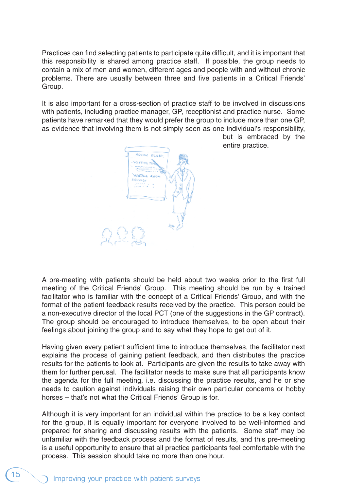Practices can find selecting patients to participate quite difficult, and it is important that this responsibility is shared among practice staff. If possible, the group needs to contain a mix of men and women, different ages and people with and without chronic problems. There are usually between three and five patients in a Critical Friends' Group.

It is also important for a cross-section of practice staff to be involved in discussions with patients, including practice manager, GP, receptionist and practice nurse. Some patients have remarked that they would prefer the group to include more than one GP, as evidence that involving them is not simply seen as one individual's responsibility,



but is embraced by the entire practice.

A pre-meeting with patients should be held about two weeks prior to the first full meeting of the Critical Friends' Group. This meeting should be run by a trained facilitator who is familiar with the concept of a Critical Friends' Group, and with the format of the patient feedback results received by the practice. This person could be a non-executive director of the local PCT (one of the suggestions in the GP contract). The group should be encouraged to introduce themselves, to be open about their feelings about joining the group and to say what they hope to get out of it.

Having given every patient sufficient time to introduce themselves, the facilitator next explains the process of gaining patient feedback, and then distributes the practice results for the patients to look at. Participants are given the results to take away with them for further perusal. The facilitator needs to make sure that all participants know the agenda for the full meeting, i.e. discussing the practice results, and he or she needs to caution against individuals raising their own particular concerns or hobby horses – that's not what the Critical Friends' Group is for.

Although it is very important for an individual within the practice to be a key contact for the group, it is equally important for everyone involved to be well-informed and prepared for sharing and discussing results with the patients. Some staff may be unfamiliar with the feedback process and the format of results, and this pre-meeting is a useful opportunity to ensure that all practice participants feel comfortable with the process. This session should take no more than one hour.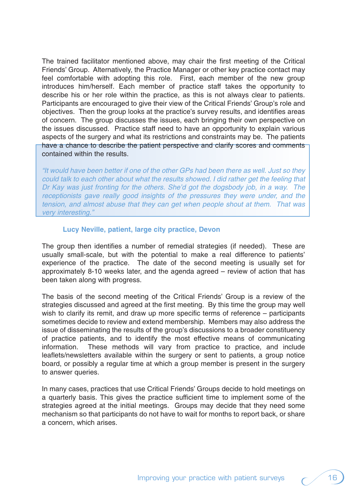The trained facilitator mentioned above, may chair the first meeting of the Critical Friends' Group. Alternatively, the Practice Manager or other key practice contact may feel comfortable with adopting this role. First, each member of the new group introduces him/herself. Each member of practice staff takes the opportunity to describe his or her role within the practice, as this is not always clear to patients. Participants are encouraged to give their view of the Critical Friends' Group's role and objectives. Then the group looks at the practice's survey results, and identifies areas of concern. The group discusses the issues, each bringing their own perspective on the issues discussed. Practice staff need to have an opportunity to explain various aspects of the surgery and what its restrictions and constraints may be. The patients have a chance to describe the patient perspective and clarify scores and comments contained within the results.

"It would have been better if one of the other GPs had been there as well. Just so they could talk to each other about what the results showed. I did rather get the feeling that Dr Kay was just fronting for the others. She'd got the dogsbody job, in a way. The receptionists gave really good insights of the pressures they were under, and the tension, and almost abuse that they can get when people shout at them. That was very interesting."

#### **Lucy Neville, patient, large city practice, Devon**

The group then identifies a number of remedial strategies (if needed). These are usually small-scale, but with the potential to make a real difference to patients' experience of the practice. The date of the second meeting is usually set for approximately 8-10 weeks later, and the agenda agreed – review of action that has been taken along with progress.

The basis of the second meeting of the Critical Friends' Group is a review of the strategies discussed and agreed at the first meeting. By this time the group may well wish to clarify its remit, and draw up more specific terms of reference – participants sometimes decide to review and extend membership. Members may also address the issue of disseminating the results of the group's discussions to a broader constituency of practice patients, and to identify the most effective means of communicating information. These methods will vary from practice to practice, and include leaflets/newsletters available within the surgery or sent to patients, a group notice board, or possibly a regular time at which a group member is present in the surgery to answer queries.

In many cases, practices that use Critical Friends' Groups decide to hold meetings on a quarterly basis. This gives the practice sufficient time to implement some of the strategies agreed at the initial meetings. Groups may decide that they need some mechanism so that participants do not have to wait for months to report back, or share a concern, which arises.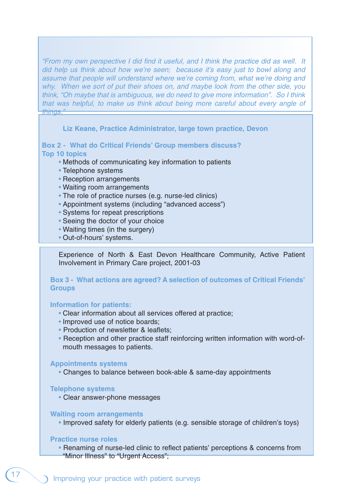"From my own perspective I did find it useful, and I think the practice did as well. It did help us think about how we're seen; because it's easy just to bowl along and assume that people will understand where we're coming from, what we're doing and why. When we sort of put their shoes on, and maybe look from the other side, you think, "Oh maybe that is ambiguous, we do need to give more information". So I think that was helpful, to make us think about being more careful about every angle of things."

**Liz Keane, Practice Administrator, large town practice, Devon**

#### **Box 2 - What do Critical Friends' Group members discuss? Top 10 topics**

- Methods of communicating key information to patients
- Telephone systems
- Reception arrangements
- Waiting room arrangements
- The role of practice nurses (e.g. nurse-led clinics)
- Appointment systems (including "advanced access")
- Systems for repeat prescriptions
- Seeing the doctor of your choice
- Waiting times (in the surgery)
- Out-of-hours' systems.

Experience of North & East Devon Healthcare Community, Active Patient Involvement in Primary Care project, 2001-03

## **Box 3 - What actions are agreed? A selection of outcomes of Critical Friends' Groups**

#### **Information for patients:**

- Clear information about all services offered at practice;
- Improved use of notice boards;
- Production of newsletter & leaflets:
- Reception and other practice staff reinforcing written information with word-ofmouth messages to patients.

#### **Appointments systems**

• Changes to balance between book-able & same-day appointments

#### **Telephone systems**

• Clear answer-phone messages

#### **Waiting room arrangements**

• Improved safety for elderly patients (e.g. sensible storage of children's toys)

#### **Practice nurse roles**

• Renaming of nurse-led clinic to reflect patients' perceptions & concerns from "Minor Illness" to "Urgent Access";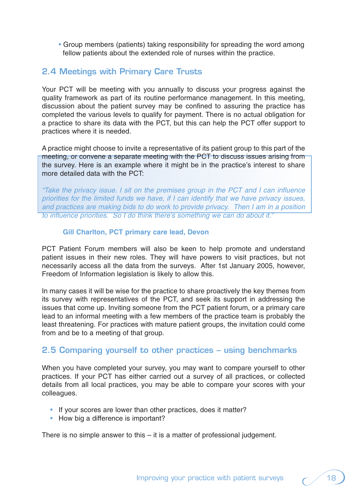• Group members (patients) taking responsibility for spreading the word among fellow patients about the extended role of nurses within the practice.

## **2.4 Meetings with Primary Care Trusts**

Your PCT will be meeting with you annually to discuss your progress against the quality framework as part of its routine performance management. In this meeting, discussion about the patient survey may be confined to assuring the practice has completed the various levels to qualify for payment. There is no actual obligation for a practice to share its data with the PCT, but this can help the PCT offer support to practices where it is needed.

A practice might choose to invite a representative of its patient group to this part of the meeting, or convene a separate meeting with the PCT to discuss issues arising from the survey. Here is an example where it might be in the practice's interest to share more detailed data with the PCT:

"Take the privacy issue. I sit on the premises group in the PCT and I can influence priorities for the limited funds we have, if I can identify that we have privacy issues, and practices are making bids to do work to provide privacy. Then I am in a position to influence priorities. So I do think there's something we can do about it."

## **Gill Charlton, PCT primary care lead, Devon**

PCT Patient Forum members will also be keen to help promote and understand patient issues in their new roles. They will have powers to visit practices, but not necessarily access all the data from the surveys. After 1st January 2005, however, Freedom of Information legislation is likely to allow this.

In many cases it will be wise for the practice to share proactively the key themes from its survey with representatives of the PCT, and seek its support in addressing the issues that come up. Inviting someone from the PCT patient forum, or a primary care lead to an informal meeting with a few members of the practice team is probably the least threatening. For practices with mature patient groups, the invitation could come from and be to a meeting of that group.

## **2.5 Comparing yourself to other practices – using benchmarks**

When you have completed your survey, you may want to compare yourself to other practices. If your PCT has either carried out a survey of all practices, or collected details from all local practices, you may be able to compare your scores with your colleagues.

- If your scores are lower than other practices, does it matter?
- How big a difference is important?

There is no simple answer to this – it is a matter of professional judgement.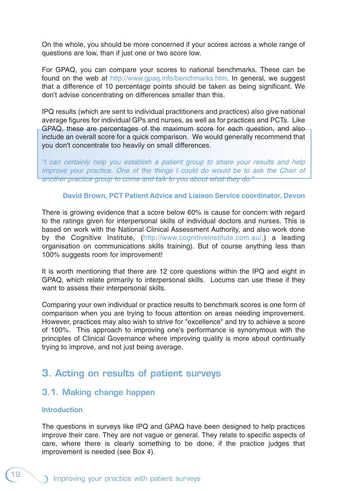On the whole, you should be more concerned if your scores across a whole range of questions are low, than if just one or two score low.

For GPAQ, you can compare your scores to national benchmarks. These can be found on the web at http://www.gpaq.info/benchmarks.htm. In general, we suggest that a difference of 10 percentage points should be taken as being significant. We don't advise concentrating on differences smaller than this.

IPQ results (which are sent to individual practitioners and practices) also give national average figures for individual GPs and nurses, as well as for practices and PCTs. Like GPAQ, these are percentages of the maximum score for each question, and also include an overall score for a quick comparison. We would generally recommend that you don't concentrate too heavily on small differences.

"I can certainly help you establish a patient group to share your results and help improve your practice. One of the things I could do would be to ask the Chair of another practice group to come and talk to you about what they do."

## **David Brown, PCT Patient Advice and Liaison Service coordinator, Devon**

There is growing evidence that a score below 60% is cause for concern with regard to the ratings given for interpersonal skills of individual doctors and nurses. This is based on work with the National Clinical Assessment Authority, and also work done by the Cognitive Institute, (http://www.cognitiveinstitute.com.au/,) a leading organisation on communications skills training). But of course anything less than 100% suggests room for improvement!

It is worth mentioning that there are 12 core questions within the IPQ and eight in GPAQ, which relate primarily to interpersonal skills. Locums can use these if they want to assess their interpersonal skills.

Comparing your own individual or practice results to benchmark scores is one form of comparison when you are trying to focus attention on areas needing improvement. However, practices may also wish to strive for "excellence" and try to achieve a score of 100%. This approach to improving one's performance is synonymous with the principles of Clinical Governance where improving quality is more about continually trying to improve, and not just being average.

## **3. Acting on results of patient surveys**

## **3.1. Making change happen**

## **Introduction**

The questions in surveys like IPQ and GPAQ have been designed to help practices improve their care. They are not vague or general. They relate to specific aspects of care, where there is clearly something to be done, if the practice judges that improvement is needed (see Box 4).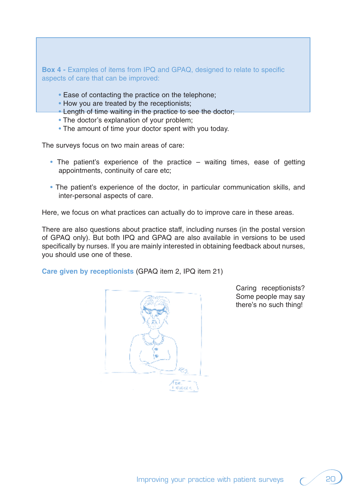**Box 4 - Examples of items from IPQ and GPAQ, designed to relate to specific** aspects of care that can be improved:

- Ease of contacting the practice on the telephone;
- How you are treated by the receptionists;
- Length of time waiting in the practice to see the doctor;
- The doctor's explanation of your problem;
- The amount of time your doctor spent with you today.

The surveys focus on two main areas of care:

- The patient's experience of the practice waiting times, ease of getting appointments, continuity of care etc;
- The patient's experience of the doctor, in particular communication skills, and inter-personal aspects of care.

Here, we focus on what practices can actually do to improve care in these areas.

There are also questions about practice staff, including nurses (in the postal version of GPAQ only). But both IPQ and GPAQ are also available in versions to be used specifically by nurses. If you are mainly interested in obtaining feedback about nurses, you should use one of these.

**Care given by receptionists** (GPAQ item 2, IPQ item 21)



Caring receptionists? Some people may say there's no such thing!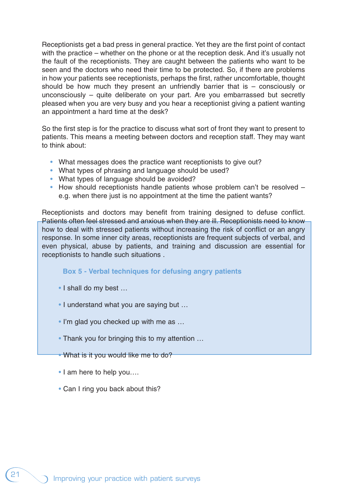Receptionists get a bad press in general practice. Yet they are the first point of contact with the practice – whether on the phone or at the reception desk. And it's usually not the fault of the receptionists. They are caught between the patients who want to be seen and the doctors who need their time to be protected. So, if there are problems in how your patients see receptionists, perhaps the first, rather uncomfortable, thought should be how much they present an unfriendly barrier that is – consciously or unconsciously – quite deliberate on your part. Are you embarrassed but secretly pleased when you are very busy and you hear a receptionist giving a patient wanting an appointment a hard time at the desk?

So the first step is for the practice to discuss what sort of front they want to present to patients. This means a meeting between doctors and reception staff. They may want to think about:

- What messages does the practice want receptionists to give out?
- What types of phrasing and language should be used?
- What types of language should be avoided?
- How should receptionists handle patients whose problem can't be resolved e.g. when there just is no appointment at the time the patient wants?

Receptionists and doctors may benefit from training designed to defuse conflict. Patients often feel stressed and anxious when they are ill. Receptionists need to know how to deal with stressed patients without increasing the risk of conflict or an angry response. In some inner city areas, receptionists are frequent subjects of verbal, and even physical, abuse by patients, and training and discussion are essential for receptionists to handle such situations .

#### **Box 5 - Verbal techniques for defusing angry patients**

- I shall do my best …
- I understand what you are saying but …
- I'm glad you checked up with me as ...
- Thank you for bringing this to my attention ...
- What is it you would like me to do?
- I am here to help you....
- Can I ring you back about this?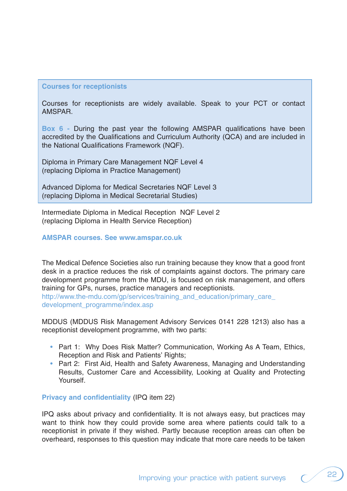#### **Courses for receptionists**

Courses for receptionists are widely available. Speak to your PCT or contact AMSPAR.

**Box 6 -** During the past year the following AMSPAR qualifications have been accredited by the Qualifications and Curriculum Authority (QCA) and are included in the National Qualifications Framework (NQF).

Diploma in Primary Care Management NQF Level 4 (replacing Diploma in Practice Management)

Advanced Diploma for Medical Secretaries NQF Level 3 (replacing Diploma in Medical Secretarial Studies)

Intermediate Diploma in Medical Reception NQF Level 2 (replacing Diploma in Health Service Reception)

#### **AMSPAR courses. See www.amspar.co.uk**

The Medical Defence Societies also run training because they know that a good front desk in a practice reduces the risk of complaints against doctors. The primary care development programme from the MDU, is focused on risk management, and offers training for GPs, nurses, practice managers and receptionists. http://www.the-mdu.com/gp/services/training and education/primary care

development\_programme/index.asp

MDDUS (MDDUS Risk Management Advisory Services 0141 228 1213) also has a receptionist development programme, with two parts:

- Part 1: Why Does Risk Matter? Communication, Working As A Team, Ethics, Reception and Risk and Patients' Rights;
- Part 2: First Aid, Health and Safety Awareness, Managing and Understanding Results, Customer Care and Accessibility, Looking at Quality and Protecting Yourself.

#### **Privacy and confidentiality** (IPQ item 22)

IPQ asks about privacy and confidentiality. It is not always easy, but practices may want to think how they could provide some area where patients could talk to a receptionist in private if they wished. Partly because reception areas can often be overheard, responses to this question may indicate that more care needs to be taken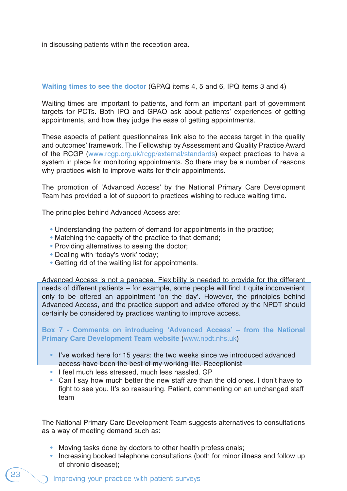in discussing patients within the reception area.

## **Waiting times to see the doctor** (GPAQ items 4, 5 and 6, IPQ items 3 and 4)

Waiting times are important to patients, and form an important part of government targets for PCTs. Both IPQ and GPAQ ask about patients' experiences of getting appointments, and how they judge the ease of getting appointments.

These aspects of patient questionnaires link also to the access target in the quality and outcomes' framework. The Fellowship by Assessment and Quality Practice Award of the RCGP (www.rcgp.org.uk/rcgp/external/standards) expect practices to have a system in place for monitoring appointments. So there may be a number of reasons why practices wish to improve waits for their appointments.

The promotion of 'Advanced Access' by the National Primary Care Development Team has provided a lot of support to practices wishing to reduce waiting time.

The principles behind Advanced Access are:

- Understanding the pattern of demand for appointments in the practice;
- Matching the capacity of the practice to that demand;
- Providing alternatives to seeing the doctor;
- Dealing with 'today's work' today;
- Getting rid of the waiting list for appointments.

Advanced Access is not a panacea. Flexibility is needed to provide for the different needs of different patients – for example, some people will find it quite inconvenient only to be offered an appointment 'on the day'. However, the principles behind Advanced Access, and the practice support and advice offered by the NPDT should certainly be considered by practices wanting to improve access.

**Box 7 - Comments on introducing 'Advanced Access' – from the National Primary Care Development Team website** (www.npdt.nhs.uk)

- I've worked here for 15 years: the two weeks since we introduced advanced access have been the best of my working life. Receptionist
- I feel much less stressed, much less hassled. GP
- Can I say how much better the new staff are than the old ones. I don't have to fight to see you. It's so reassuring. Patient, commenting on an unchanged staff team

The National Primary Care Development Team suggests alternatives to consultations as a way of meeting demand such as:

- Moving tasks done by doctors to other health professionals;
- Increasing booked telephone consultations (both for minor illness and follow up of chronic disease);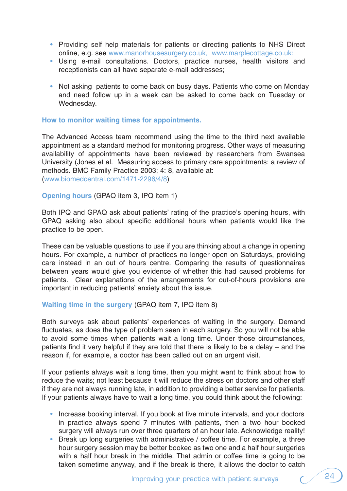- Providing self help materials for patients or directing patients to NHS Direct online, e.g. see www.manorhousesurgery.co.uk, www.marplecottage.co.uk:
- Using e-mail consultations. Doctors, practice nurses, health visitors and receptionists can all have separate e-mail addresses;
- Not asking patients to come back on busy days. Patients who come on Monday and need follow up in a week can be asked to come back on Tuesday or Wednesday.

### **How to monitor waiting times for appointments.**

The Advanced Access team recommend using the time to the third next available appointment as a standard method for monitoring progress. Other ways of measuring availability of appointments have been reviewed by researchers from Swansea University (Jones et al. Measuring access to primary care appointments: a review of methods. BMC Family Practice 2003; 4: 8, available at: (www.biomedcentral.com/1471-2296/4/8)

**Opening hours** (GPAQ item 3, IPQ item 1)

Both IPQ and GPAQ ask about patients' rating of the practice's opening hours, with GPAQ asking also about specific additional hours when patients would like the practice to be open.

These can be valuable questions to use if you are thinking about a change in opening hours. For example, a number of practices no longer open on Saturdays, providing care instead in an out of hours centre. Comparing the results of questionnaires between years would give you evidence of whether this had caused problems for patients. Clear explanations of the arrangements for out-of-hours provisions are important in reducing patients' anxiety about this issue.

#### **Waiting time in the surgery** (GPAQ item 7, IPQ item 8)

Both surveys ask about patients' experiences of waiting in the surgery. Demand fluctuates, as does the type of problem seen in each surgery. So you will not be able to avoid some times when patients wait a long time. Under those circumstances, patients find it very helpful if they are told that there is likely to be a delay – and the reason if, for example, a doctor has been called out on an urgent visit.

If your patients always wait a long time, then you might want to think about how to reduce the waits; not least because it will reduce the stress on doctors and other staff if they are not always running late, in addition to providing a better service for patients. If your patients always have to wait a long time, you could think about the following:

- Increase booking interval. If you book at five minute intervals, and your doctors in practice always spend 7 minutes with patients, then a two hour booked surgery will always run over three quarters of an hour late. Acknowledge reality!
- Break up long surgeries with administrative / coffee time. For example, a three hour surgery session may be better booked as two one and a half hour surgeries with a half hour break in the middle. That admin or coffee time is going to be taken sometime anyway, and if the break is there, it allows the doctor to catch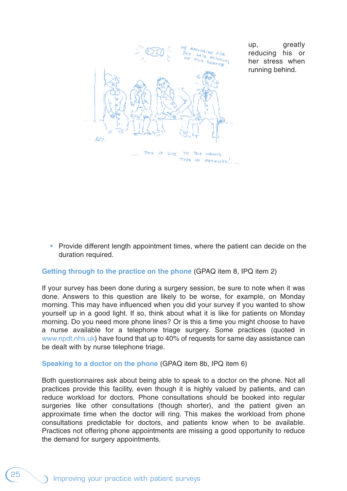

up, greatly reducing his or her stress when running behind.

• Provide different length appointment times, where the patient can decide on the duration required.

#### **Getting through to the practice on the phone** (GPAQ item 8, IPQ item 2)

If your survey has been done during a surgery session, be sure to note when it was done. Answers to this question are likely to be worse, for example, on Monday morning. This may have influenced when you did your survey if you wanted to show yourself up in a good light. If so, think about what it is like for patients on Monday morning. Do you need more phone lines? Or is this a time you might choose to have a nurse available for a telephone triage surgery. Some practices (quoted in www.npdt.nhs.uk) have found that up to 40% of requests for same day assistance can be dealt with by nurse telephone triage.

#### **Speaking to a doctor on the phone** (GPAQ item 8b, IPQ item 6)

Both questionnaires ask about being able to speak to a doctor on the phone. Not all practices provide this facility, even though it is highly valued by patients, and can reduce workload for doctors. Phone consultations should be booked into regular surgeries like other consultations (though shorter), and the patient given an approximate time when the doctor will ring. This makes the workload from phone consultations predictable for doctors, and patients know when to be available. Practices not offering phone appointments are missing a good opportunity to reduce the demand for surgery appointments.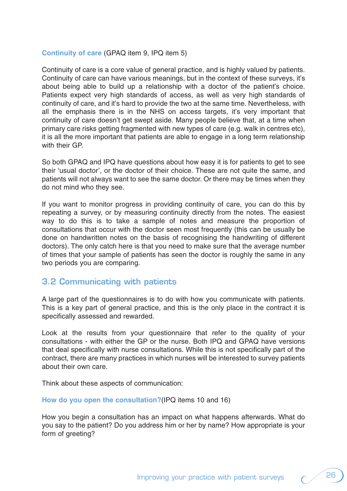## **Continuity of care** (GPAQ item 9, IPQ item 5)

Continuity of care is a core value of general practice, and is highly valued by patients. Continuity of care can have various meanings, but in the context of these surveys, it's about being able to build up a relationship with a doctor of the patient's choice. Patients expect very high standards of access, as well as very high standards of continuity of care, and it's hard to provide the two at the same time. Nevertheless, with all the emphasis there is in the NHS on access targets, it's very important that continuity of care doesn't get swept aside. Many people believe that, at a time when primary care risks getting fragmented with new types of care (e.g. walk in centres etc), it is all the more important that patients are able to engage in a long term relationship with their GP.

So both GPAQ and IPQ have questions about how easy it is for patients to get to see their 'usual doctor', or the doctor of their choice. These are not quite the same, and patients will not always want to see the same doctor. Or there may be times when they do not mind who they see.

If you want to monitor progress in providing continuity of care, you can do this by repeating a survey, or by measuring continuity directly from the notes. The easiest way to do this is to take a sample of notes and measure the proportion of consultations that occur with the doctor seen most frequently (this can be usually be done on handwritten notes on the basis of recognising the handwriting of different doctors). The only catch here is that you need to make sure that the average number of times that your sample of patients has seen the doctor is roughly the same in any two periods you are comparing.

## **3.2 Communicating with patients**

A large part of the questionnaires is to do with how you communicate with patients. This is a key part of general practice, and this is the only place in the contract it is specifically assessed and rewarded.

Look at the results from your questionnaire that refer to the quality of your consultations - with either the GP or the nurse. Both IPQ and GPAQ have versions that deal specifically with nurse consultations. While this is not specifically part of the contract, there are many practices in which nurses will be interested to survey patients about their own care.

Think about these aspects of communication:

**How do you open the consultation?**(IPQ items 10 and 16)

How you begin a consultation has an impact on what happens afterwards. What do you say to the patient? Do you address him or her by name? How appropriate is your form of greeting?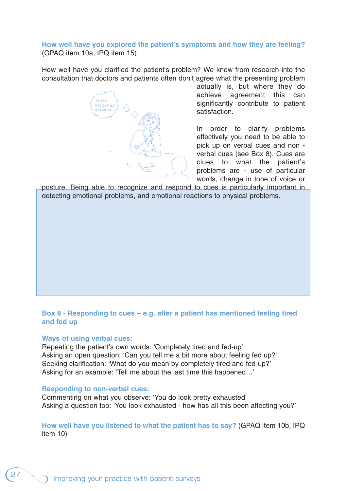## **How well have you explored the patient's symptoms and how they are feeling?** (GPAQ item 10a, IPQ item 15)

How well have you clarified the patient's problem? We know from research into the consultation that doctors and patients often don't agree what the presenting problem

actually is, but where they do achieve agreement this can significantly contribute to patient satisfaction.

In order to clarify problems effectively you need to be able to pick up on verbal cues and non verbal cues (see Box 8). Cues are clues to what the patient's problems are - use of particular words, change in tone of voice or

posture. Being able to recognize and respond to cues is particularly important in detecting emotional problems, and emotional reactions to physical problems.

## **Box 8 - Responding to cues – e.g. after a patient has mentioned feeling tired and fed up**

#### **Ways of using verbal cues:**

Repeating the patient's own words: 'Completely tired and fed-up' Asking an open question: 'Can you tell me a bit more about feeling fed up?' Seeking clarification: 'What do you mean by completely tired and fed-up?' Asking for an example: 'Tell me about the last time this happened…'

#### **Responding to non-verbal cues:**

Commenting on what you observe: 'You do look pretty exhausted' Asking a question too: 'You look exhausted - how has all this been affecting you?'

**How well have you listened to what the patient has to say?** (GPAQ item 10b, IPQ item 10)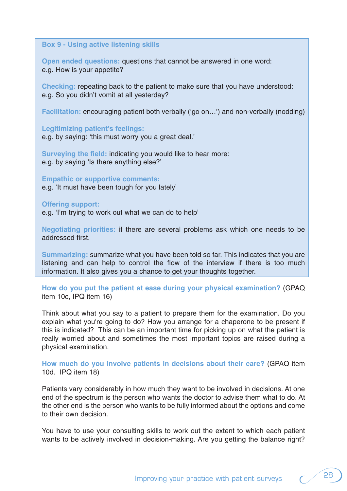#### **Box 9 - Using active listening skills**

**Open ended questions:** questions that cannot be answered in one word: e.g. How is your appetite?

**Checking:** repeating back to the patient to make sure that you have understood: e.g. So you didn't vomit at all yesterday?

**Facilitation:** encouraging patient both verbally ('go on…') and non-verbally (nodding)

**Legitimizing patient's feelings:**

e.g. by saying: 'this must worry you a great deal.'

**Surveying the field:** indicating you would like to hear more: e.g. by saying 'Is there anything else?'

**Empathic or supportive comments:**

e.g. 'It must have been tough for you lately'

#### **Offering support:**

e.g. 'I'm trying to work out what we can do to help'

**Negotiating priorities:** if there are several problems ask which one needs to be addressed first.

**Summarizing:** summarize what you have been told so far. This indicates that you are listening and can help to control the flow of the interview if there is too much information. It also gives you a chance to get your thoughts together.

**How do you put the patient at ease during your physical examination?** (GPAQ item 10c, IPQ item 16)

Think about what you say to a patient to prepare them for the examination. Do you explain what you're going to do? How you arrange for a chaperone to be present if this is indicated? This can be an important time for picking up on what the patient is really worried about and sometimes the most important topics are raised during a physical examination.

**How much do you involve patients in decisions about their care?** (GPAQ item 10d. IPQ item 18)

Patients vary considerably in how much they want to be involved in decisions. At one end of the spectrum is the person who wants the doctor to advise them what to do. At the other end is the person who wants to be fully informed about the options and come to their own decision.

You have to use your consulting skills to work out the extent to which each patient wants to be actively involved in decision-making. Are you getting the balance right?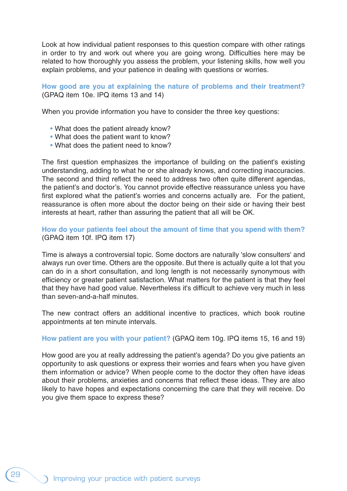Look at how individual patient responses to this question compare with other ratings in order to try and work out where you are going wrong. Difficulties here may be related to how thoroughly you assess the problem, your listening skills, how well you explain problems, and your patience in dealing with questions or worries.

**How good are you at explaining the nature of problems and their treatment?** (GPAQ item 10e. IPQ items 13 and 14)

When you provide information you have to consider the three key questions:

- What does the patient already know?
- What does the patient want to know?
- What does the patient need to know?

The first question emphasizes the importance of building on the patient's existing understanding, adding to what he or she already knows, and correcting inaccuracies. The second and third reflect the need to address two often quite different agendas, the patient's and doctor's. You cannot provide effective reassurance unless you have first explored what the patient's worries and concerns actually are. For the patient, reassurance is often more about the doctor being on their side or having their best interests at heart, rather than assuring the patient that all will be OK.

**How do your patients feel about the amount of time that you spend with them?**  (GPAQ item 10f. IPQ item 17)

Time is always a controversial topic. Some doctors are naturally 'slow consulters' and always run over time. Others are the opposite. But there is actually quite a lot that you can do in a short consultation, and long length is not necessarily synonymous with efficiency or greater patient satisfaction. What matters for the patient is that they feel that they have had good value. Nevertheless it's difficult to achieve very much in less than seven-and-a-half minutes.

The new contract offers an additional incentive to practices, which book routine appointments at ten minute intervals.

**How patient are you with your patient?** (GPAQ item 10g. IPQ items 15, 16 and 19)

How good are you at really addressing the patient's agenda? Do you give patients an opportunity to ask questions or express their worries and fears when you have given them information or advice? When people come to the doctor they often have ideas about their problems, anxieties and concerns that reflect these ideas. They are also likely to have hopes and expectations concerning the care that they will receive. Do you give them space to express these?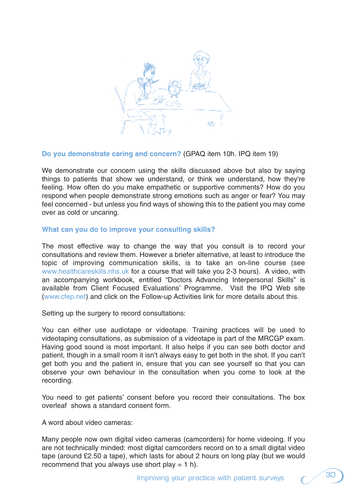

#### **Do you demonstrate caring and concern?** (GPAQ item 10h. IPQ item 19)

We demonstrate our concern using the skills discussed above but also by saying things to patients that show we understand, or think we understand, how they're feeling. How often do you make empathetic or supportive comments? How do you respond when people demonstrate strong emotions such as anger or fear? You may feel concerned - but unless you find ways of showing this to the patient you may come over as cold or uncaring.

#### **What can you do to improve your consulting skills?**

The most effective way to change the way that you consult is to record your consultations and review them. However a briefer alternative, at least to introduce the topic of improving communication skills, is to take an on-line course (see www.healthcareskills.nhs.uk for a course that will take you 2-3 hours). A video, with an accompanying workbook, entitled "Doctors Advancing Interpersonal Skills" is available from Client Focused Evaluations' Programme. Visit the IPQ Web site (www.cfep.net) and click on the Follow-up Activities link for more details about this.

Setting up the surgery to record consultations:

You can either use audiotape or videotape. Training practices will be used to videotaping consultations, as submission of a videotape is part of the MRCGP exam. Having good sound is most important. It also helps if you can see both doctor and patient, though in a small room it isn't always easy to get both in the shot. If you can't get both you and the patient in, ensure that you can see yourself so that you can observe your own behaviour in the consultation when you come to look at the recording.

You need to get patients' consent before you record their consultations. The box overleaf shows a standard consent form.

A word about video cameras:

Many people now own digital video cameras (camcorders) for home videoing. If you are not technically minded: most digital camcorders record on to a small digital video tape (around £2.50 a tape), which lasts for about 2 hours on long play (but we would recommend that you always use short play  $= 1$  h).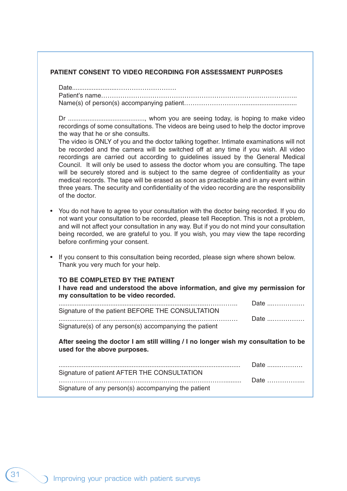#### **PATIENT CONSENT TO VIDEO RECORDING FOR ASSESSMENT PURPOSES**

Date.........................………………………. Patient's name……………………………………………………………………………….. Name(s) of person(s) accompanying patient………………………...............................

Dr ..........................................., whom you are seeing today, is hoping to make video recordings of some consultations. The videos are being used to help the doctor improve the way that he or she consults.

The video is ONLY of you and the doctor talking together. Intimate examinations will not be recorded and the camera will be switched off at any time if you wish. All video recordings are carried out according to guidelines issued by the General Medical Council. It will only be used to assess the doctor whom you are consulting. The tape will be securely stored and is subject to the same degree of confidentiality as your medical records. The tape will be erased as soon as practicable and in any event within three years. The security and confidentiality of the video recording are the responsibility of the doctor.

- You do not have to agree to your consultation with the doctor being recorded. If you do not want your consultation to be recorded, please tell Reception. This is not a problem, and will not affect your consultation in any way. But if you do not mind your consultation being recorded, we are grateful to you. If you wish, you may view the tape recording before confirming your consent.
- If you consent to this consultation being recorded, please sign where shown below. Thank you very much for your help.

#### **TO BE COMPLETED BY THE PATIENT**

**I have read and understood the above information, and give my permission for my consultation to be video recorded.** ....................................................................................………….. Date ...……………

| Signature of the patient BEFORE THE CONSULTATION       | _______________________________ |
|--------------------------------------------------------|---------------------------------|
|                                                        | Date                            |
| Signature(s) of any person(s) accompanying the patient |                                 |

**After seeing the doctor I am still willing / I no longer wish my consultation to be used for the above purposes.**

|                                                     | Date        |
|-----------------------------------------------------|-------------|
| Signature of patient AFTER THE CONSULTATION         |             |
|                                                     | Date ……………… |
| Signature of any person(s) accompanying the patient |             |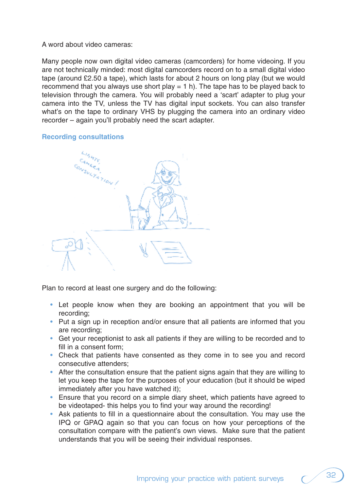#### A word about video cameras:

Many people now own digital video cameras (camcorders) for home videoing. If you are not technically minded: most digital camcorders record on to a small digital video tape (around £2.50 a tape), which lasts for about 2 hours on long play (but we would recommend that you always use short play  $= 1$  h). The tape has to be played back to television through the camera. You will probably need a 'scart' adapter to plug your camera into the TV, unless the TV has digital input sockets. You can also transfer what's on the tape to ordinary VHS by plugging the camera into an ordinary video recorder – again you'll probably need the scart adapter.

## **Recording consultations**



Plan to record at least one surgery and do the following:

- Let people know when they are booking an appointment that you will be recording;
- Put a sign up in reception and/or ensure that all patients are informed that you are recording;
- Get your receptionist to ask all patients if they are willing to be recorded and to fill in a consent form;
- Check that patients have consented as they come in to see you and record consecutive attenders;
- After the consultation ensure that the patient signs again that they are willing to let you keep the tape for the purposes of your education (but it should be wiped immediately after you have watched it);
- Ensure that you record on a simple diary sheet, which patients have agreed to be videotaped- this helps you to find your way around the recording!
- Ask patients to fill in a questionnaire about the consultation. You may use the IPQ or GPAQ again so that you can focus on how your perceptions of the consultation compare with the patient's own views. Make sure that the patient understands that you will be seeing their individual responses.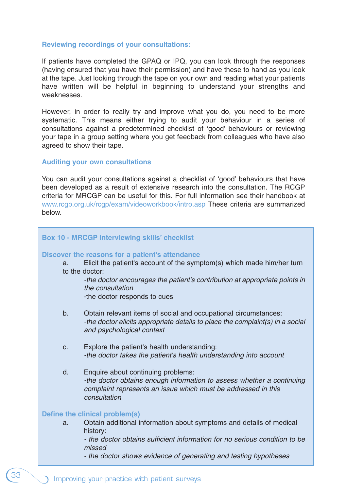#### **Reviewing recordings of your consultations:**

If patients have completed the GPAQ or IPQ, you can look through the responses (having ensured that you have their permission) and have these to hand as you look at the tape. Just looking through the tape on your own and reading what your patients have written will be helpful in beginning to understand your strengths and weaknesses.

However, in order to really try and improve what you do, you need to be more systematic. This means either trying to audit your behaviour in a series of consultations against a predetermined checklist of 'good' behaviours or reviewing your tape in a group setting where you get feedback from colleagues who have also agreed to show their tape.

#### **Auditing your own consultations**

You can audit your consultations against a checklist of 'good' behaviours that have been developed as a result of extensive research into the consultation. The RCGP criteria for MRCGP can be useful for this. For full information see their handbook at www.rcgp.org.uk/rcgp/exam/videoworkbook/intro.asp These criteria are summarized below.

| <b>Box 10 - MRCGP interviewing skills' checklist</b> |                                                                                                                                                                                                                                                                               |  |  |  |  |  |
|------------------------------------------------------|-------------------------------------------------------------------------------------------------------------------------------------------------------------------------------------------------------------------------------------------------------------------------------|--|--|--|--|--|
| a.                                                   | Discover the reasons for a patient's attendance<br>Elicit the patient's account of the symptom(s) which made him/her turn<br>to the doctor:<br>-the doctor encourages the patient's contribution at appropriate points in<br>the consultation<br>-the doctor responds to cues |  |  |  |  |  |
| b.                                                   | Obtain relevant items of social and occupational circumstances:<br>-the doctor elicits appropriate details to place the complaint(s) in a social<br>and psychological context                                                                                                 |  |  |  |  |  |
| C.                                                   | Explore the patient's health understanding:<br>-the doctor takes the patient's health understanding into account                                                                                                                                                              |  |  |  |  |  |
| d.                                                   | Enquire about continuing problems:<br>-the doctor obtains enough information to assess whether a continuing<br>complaint represents an issue which must be addressed in this<br>consultation                                                                                  |  |  |  |  |  |
|                                                      | Define the clinical problem(s)                                                                                                                                                                                                                                                |  |  |  |  |  |
| a.                                                   | Obtain additional information about symptoms and details of medical<br>history:<br>- the doctor obtains sufficient information for no serious condition to be<br>missed                                                                                                       |  |  |  |  |  |
|                                                      | - the doctor shows evidence of generating and testing hypotheses                                                                                                                                                                                                              |  |  |  |  |  |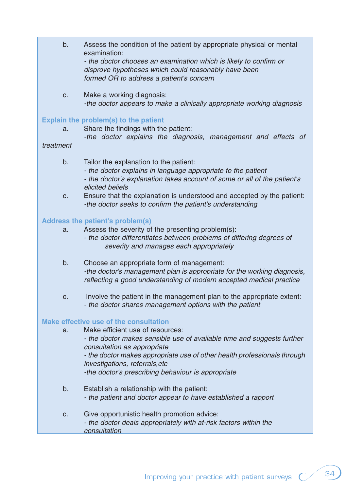- b. Assess the condition of the patient by appropriate physical or mental examination: - the doctor chooses an examination which is likely to confirm or disprove hypotheses which could reasonably have been formed OR to address a patient's concern
- c. Make a working diagnosis: -the doctor appears to make a clinically appropriate working diagnosis

## **Explain the problem(s) to the patient**

a. Share the findings with the patient:

-the doctor explains the diagnosis, management and effects of

#### treatment

- b. Tailor the explanation to the patient:
	- the doctor explains in language appropriate to the patient
	- the doctor's explanation takes account of some or all of the patient's elicited beliefs
- c. Ensure that the explanation is understood and accepted by the patient: -the doctor seeks to confirm the patient's understanding

## **Address the patient's problem(s)**

- a. Assess the severity of the presenting problem(s):
	- the doctor differentiates between problems of differing degrees of severity and manages each appropriately
- b. Choose an appropriate form of management: -the doctor's management plan is appropriate for the working diagnosis, reflecting a good understanding of modern accepted medical practice
- c. Involve the patient in the management plan to the appropriate extent: - the doctor shares management options with the patient

## **Make effective use of the consultation**

- a. Make efficient use of resources: - the doctor makes sensible use of available time and suggests further consultation as appropriate - the doctor makes appropriate use of other health professionals through investigations, referrals,etc -the doctor's prescribing behaviour is appropriate
- b. Establish a relationship with the patient: - the patient and doctor appear to have established a rapport
- c. Give opportunistic health promotion advice: - the doctor deals appropriately with at-risk factors within the consultation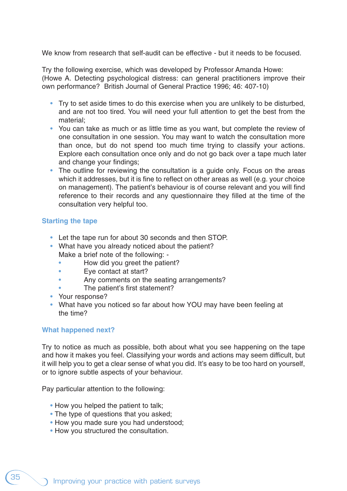We know from research that self-audit can be effective - but it needs to be focused.

Try the following exercise, which was developed by Professor Amanda Howe: (Howe A. Detecting psychological distress: can general practitioners improve their own performance? British Journal of General Practice 1996; 46: 407-10)

- Try to set aside times to do this exercise when you are unlikely to be disturbed, and are not too tired. You will need your full attention to get the best from the material;
- You can take as much or as little time as you want, but complete the review of one consultation in one session. You may want to watch the consultation more than once, but do not spend too much time trying to classify your actions. Explore each consultation once only and do not go back over a tape much later and change your findings;
- The outline for reviewing the consultation is a quide only. Focus on the areas which it addresses, but it is fine to reflect on other areas as well (e.g. your choice on management). The patient's behaviour is of course relevant and you will find reference to their records and any questionnaire they filled at the time of the consultation very helpful too.

## **Starting the tape**

- Let the tape run for about 30 seconds and then STOP.
- What have you already noticed about the patient? Make a brief note of the following: -
	- How did you greet the patient?
	- Eye contact at start?
	- Any comments on the seating arrangements?
	- The patient's first statement?
- Your response?
- What have you noticed so far about how YOU may have been feeling at the time?

## **What happened next?**

Try to notice as much as possible, both about what you see happening on the tape and how it makes you feel. Classifying your words and actions may seem difficult, but it will help you to get a clear sense of what you did. It's easy to be too hard on yourself, or to ignore subtle aspects of your behaviour.

Pay particular attention to the following:

- How you helped the patient to talk:
- The type of questions that you asked;
- How you made sure you had understood;
- How you structured the consultation.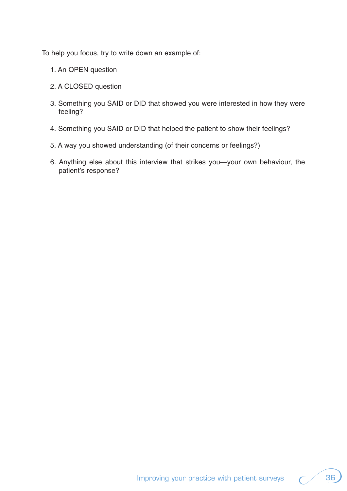To help you focus, try to write down an example of:

- 1. An OPEN question
- 2. A CLOSED question
- 3. Something you SAID or DID that showed you were interested in how they were feeling?
- 4. Something you SAID or DID that helped the patient to show their feelings?
- 5. A way you showed understanding (of their concerns or feelings?)
- 6. Anything else about this interview that strikes you—your own behaviour, the patient's response?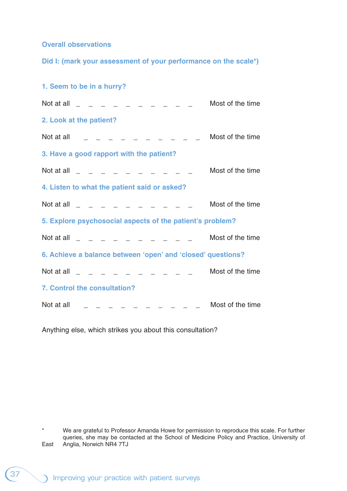**Overall observations**

**Did I: (mark your assessment of your performance on the scale\*)**

| 1. Seem to be in a hurry?                                   |                  |
|-------------------------------------------------------------|------------------|
| Not at all $      -$                                        | Most of the time |
| 2. Look at the patient?                                     |                  |
| Not at all<br>.                                             | Most of the time |
| 3. Have a good rapport with the patient?                    |                  |
| Not at all                                                  | Most of the time |
| 4. Listen to what the patient said or asked?                |                  |
| Not at all<br><u>in a la la la la la</u>                    | Most of the time |
| 5. Explore psychosocial aspects of the patient's problem?   |                  |
| Not at all $\qquad \qquad = \qquad \qquad = \qquad$         | Most of the time |
| 6. Achieve a balance between 'open' and 'closed' questions? |                  |
| Not at all                                                  | Most of the time |
| <b>7. Control the consultation?</b>                         |                  |
| Not at all                                                  | Most of the time |

Anything else, which strikes you about this consultation?

<sup>\*</sup> We are grateful to Professor Amanda Howe for permission to reproduce this scale. For further queries, she may be contacted at the School of Medicine Policy and Practice, University of East Anglia, Norwich NR4 7TJ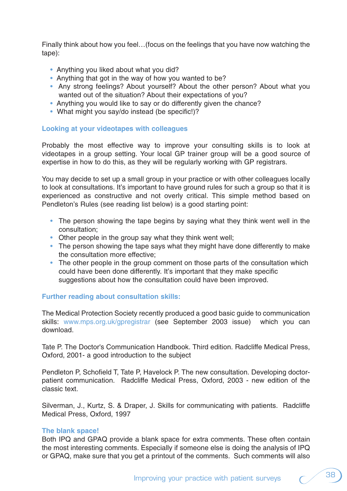Finally think about how you feel…(focus on the feelings that you have now watching the tape):

- Anything you liked about what you did?
- Anything that got in the way of how you wanted to be?
- Any strong feelings? About yourself? About the other person? About what you wanted out of the situation? About their expectations of you?
- Anything you would like to say or do differently given the chance?
- What might you say/do instead (be specific!)?

## **Looking at your videotapes with colleagues**

Probably the most effective way to improve your consulting skills is to look at videotapes in a group setting. Your local GP trainer group will be a good source of expertise in how to do this, as they will be regularly working with GP registrars.

You may decide to set up a small group in your practice or with other colleagues locally to look at consultations. It's important to have ground rules for such a group so that it is experienced as constructive and not overly critical. This simple method based on Pendleton's Rules (see reading list below) is a good starting point:

- The person showing the tape begins by saying what they think went well in the consultation;
- Other people in the group say what they think went well;
- The person showing the tape says what they might have done differently to make the consultation more effective;
- The other people in the group comment on those parts of the consultation which could have been done differently. It's important that they make specific suggestions about how the consultation could have been improved.

## **Further reading about consultation skills:**

The Medical Protection Society recently produced a good basic guide to communication skills: www.mps.org.uk/gpregistrar (see September 2003 issue) which you can download.

Tate P. The Doctor's Communication Handbook. Third edition. Radcliffe Medical Press, Oxford, 2001- a good introduction to the subject

Pendleton P, Schofield T, Tate P, Havelock P. The new consultation. Developing doctorpatient communication. Radcliffe Medical Press, Oxford, 2003 - new edition of the classic text.

Silverman, J., Kurtz, S. & Draper, J. Skills for communicating with patients. Radcliffe Medical Press, Oxford, 1997

## **The blank space!**

Both IPQ and GPAQ provide a blank space for extra comments. These often contain the most interesting comments. Especially if someone else is doing the analysis of IPQ or GPAQ, make sure that you get a printout of the comments. Such comments will also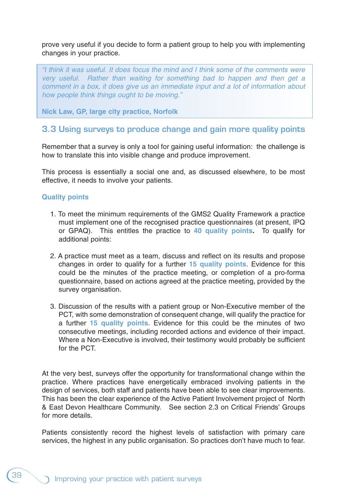prove very useful if you decide to form a patient group to help you with implementing changes in your practice.

"I think it was useful. It does focus the mind and I think some of the comments were very useful. Rather than waiting for something bad to happen and then get a comment in a box, it does give us an immediate input and a lot of information about how people think things ought to be moving."

**Nick Law, GP, large city practice, Norfolk** 

## **3.3 Using surveys to produce change and gain more quality points**

Remember that a survey is only a tool for gaining useful information: the challenge is how to translate this into visible change and produce improvement.

This process is essentially a social one and, as discussed elsewhere, to be most effective, it needs to involve your patients.

## **Quality points**

- 1. To meet the minimum requirements of the GMS2 Quality Framework a practice must implement one of the recognised practice questionnaires (at present, IPQ or GPAQ). This entitles the practice to **40 quality points.** To qualify for additional points:
- 2. A practice must meet as a team, discuss and reflect on its results and propose changes in order to qualify for a further **15 quality points**. Evidence for this could be the minutes of the practice meeting, or completion of a pro-forma questionnaire, based on actions agreed at the practice meeting, provided by the survey organisation.
- 3. Discussion of the results with a patient group or Non-Executive member of the PCT, with some demonstration of consequent change, will qualify the practice for a further **15 quality points.** Evidence for this could be the minutes of two consecutive meetings, including recorded actions and evidence of their impact. Where a Non-Executive is involved, their testimony would probably be sufficient for the PCT.

At the very best, surveys offer the opportunity for transformational change within the practice. Where practices have energetically embraced involving patients in the design of services, both staff and patients have been able to see clear improvements. This has been the clear experience of the Active Patient Involvement project of North & East Devon Healthcare Community. See section 2.3 on Critical Friends' Groups for more details.

Patients consistently record the highest levels of satisfaction with primary care services, the highest in any public organisation. So practices don't have much to fear.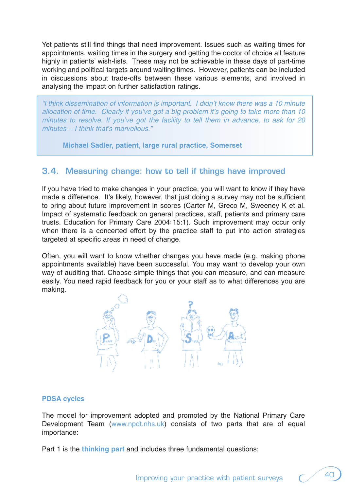Yet patients still find things that need improvement. Issues such as waiting times for appointments, waiting times in the surgery and getting the doctor of choice all feature highly in patients' wish-lists. These may not be achievable in these days of part-time working and political targets around waiting times. However, patients can be included in discussions about trade-offs between these various elements, and involved in analysing the impact on further satisfaction ratings.

"I think dissemination of information is important. I didn't know there was a 10 minute allocation of time. Clearly if you've got a big problem it's going to take more than 10 minutes to resolve. If you've got the facility to tell them in advance, to ask for 20 minutes – I think that's marvellous."

**Michael Sadler, patient, large rural practice, Somerset**

## **3.4. Measuring change: how to tell if things have improved**

If you have tried to make changes in your practice, you will want to know if they have made a difference. It's likely, however, that just doing a survey may not be sufficient to bring about future improvement in scores (Carter M, Greco M, Sweeney K et al. Impact of systematic feedback on general practices, staff, patients and primary care trusts. Education for Primary Care 2004; 15:1). Such improvement may occur only when there is a concerted effort by the practice staff to put into action strategies targeted at specific areas in need of change.

Often, you will want to know whether changes you have made (e.g. making phone appointments available) have been successful. You may want to develop your own way of auditing that. Choose simple things that you can measure, and can measure easily. You need rapid feedback for you or your staff as to what differences you are making.



## **PDSA cycles**

The model for improvement adopted and promoted by the National Primary Care Development Team (www.npdt.nhs.uk) consists of two parts that are of equal importance:

Part 1 is the **thinking part** and includes three fundamental questions: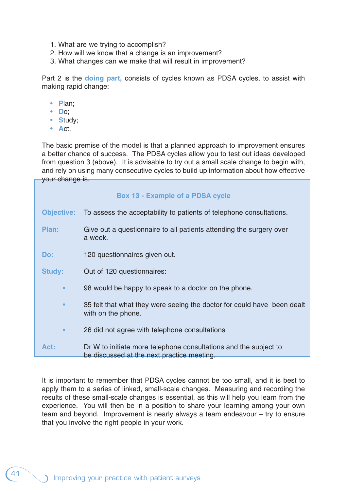- 1. What are we trying to accomplish?
- 2. How will we know that a change is an improvement?
- 3. What changes can we make that will result in improvement?

Part 2 is the **doing part,** consists of cycles known as PDSA cycles, to assist with making rapid change:

- **P**lan;
- **D**o;
- **S**tudy;
- **A**ct.

The basic premise of the model is that a planned approach to improvement ensures a better chance of success. The PDSA cycles allow you to test out ideas developed from question 3 (above). It is advisable to try out a small scale change to begin with, and rely on using many consecutive cycles to build up information about how effective your change is.

#### **Box 13 - Example of a PDSA cycle**

- **Objective:** To assess the acceptability to patients of telephone consultations.
- **Plan:** Give out a questionnaire to all patients attending the surgery over a week.
- **Do:** 120 questionnaires given out.

Study: Out of 120 questionnaires:

- 98 would be happy to speak to a doctor on the phone.
- 35 felt that what they were seeing the doctor for could have been dealt with on the phone.
- 26 did not agree with telephone consultations

**Act:** Dr W to initiate more telephone consultations and the subject to be discussed at the next practice meeting.

It is important to remember that PDSA cycles cannot be too small, and it is best to apply them to a series of linked, small-scale changes. Measuring and recording the results of these small-scale changes is essential, as this will help you learn from the experience. You will then be in a position to share your learning among your own team and beyond. Improvement is nearly always a team endeavour – try to ensure that you involve the right people in your work.

41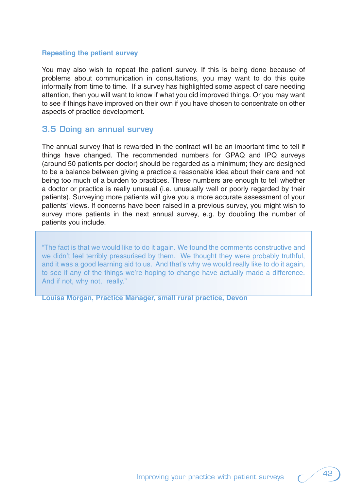## **Repeating the patient survey**

You may also wish to repeat the patient survey. If this is being done because of problems about communication in consultations, you may want to do this quite informally from time to time. If a survey has highlighted some aspect of care needing attention, then you will want to know if what you did improved things. Or you may want to see if things have improved on their own if you have chosen to concentrate on other aspects of practice development.

## **3.5 Doing an annual survey**

The annual survey that is rewarded in the contract will be an important time to tell if things have changed. The recommended numbers for GPAQ and IPQ surveys (around 50 patients per doctor) should be regarded as a minimum; they are designed to be a balance between giving a practice a reasonable idea about their care and not being too much of a burden to practices. These numbers are enough to tell whether a doctor or practice is really unusual (i.e. unusually well or poorly regarded by their patients). Surveying more patients will give you a more accurate assessment of your patients' views. If concerns have been raised in a previous survey, you might wish to survey more patients in the next annual survey, e.g. by doubling the number of patients you include.

"The fact is that we would like to do it again. We found the comments constructive and we didn't feel terribly pressurised by them. We thought they were probably truthful, and it was a good learning aid to us. And that's why we would really like to do it again, to see if any of the things we're hoping to change have actually made a difference. And if not, why not, really."

**Louisa Morgan, Practice Manager, small rural practice, Devon**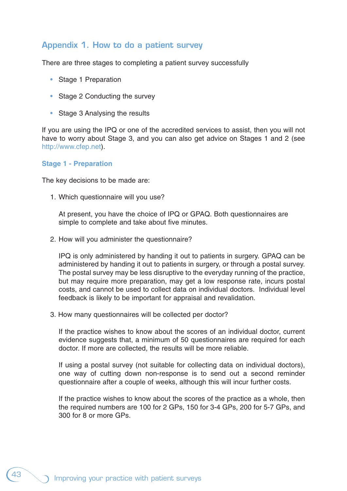## **Appendix 1. How to do a patient survey**

There are three stages to completing a patient survey successfully

- Stage 1 Preparation
- Stage 2 Conducting the survey
- Stage 3 Analysing the results

If you are using the IPQ or one of the accredited services to assist, then you will not have to worry about Stage 3, and you can also get advice on Stages 1 and 2 (see http://www.cfep.net).

#### **Stage 1 - Preparation**

The key decisions to be made are:

1. Which questionnaire will you use?

At present, you have the choice of IPQ or GPAQ. Both questionnaires are simple to complete and take about five minutes.

2. How will you administer the questionnaire?

IPQ is only administered by handing it out to patients in surgery. GPAQ can be administered by handing it out to patients in surgery, or through a postal survey. The postal survey may be less disruptive to the everyday running of the practice, but may require more preparation, may get a low response rate, incurs postal costs, and cannot be used to collect data on individual doctors. Individual level feedback is likely to be important for appraisal and revalidation.

3. How many questionnaires will be collected per doctor?

If the practice wishes to know about the scores of an individual doctor, current evidence suggests that, a minimum of 50 questionnaires are required for each doctor. If more are collected, the results will be more reliable.

If using a postal survey (not suitable for collecting data on individual doctors), one way of cutting down non-response is to send out a second reminder questionnaire after a couple of weeks, although this will incur further costs.

If the practice wishes to know about the scores of the practice as a whole, then the required numbers are 100 for 2 GPs, 150 for 3-4 GPs, 200 for 5-7 GPs, and 300 for 8 or more GPs.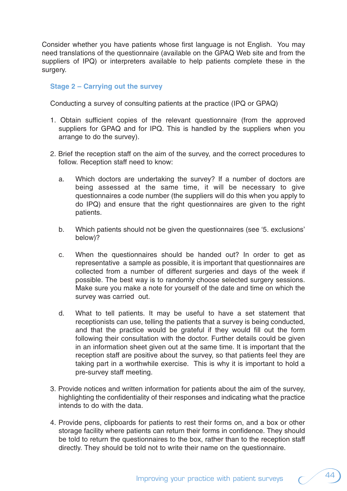Consider whether you have patients whose first language is not English. You may need translations of the questionnaire (available on the GPAQ Web site and from the suppliers of IPQ) or interpreters available to help patients complete these in the surgery.

## **Stage 2 – Carrying out the survey**

Conducting a survey of consulting patients at the practice (IPQ or GPAQ)

- 1. Obtain sufficient copies of the relevant questionnaire (from the approved suppliers for GPAQ and for IPQ. This is handled by the suppliers when you arrange to do the survey).
- 2. Brief the reception staff on the aim of the survey, and the correct procedures to follow. Reception staff need to know:
	- a. Which doctors are undertaking the survey? If a number of doctors are being assessed at the same time, it will be necessary to give questionnaires a code number (the suppliers will do this when you apply to do IPQ) and ensure that the right questionnaires are given to the right patients.
	- b. Which patients should not be given the questionnaires (see '5. exclusions' below)?
	- c. When the questionnaires should be handed out? In order to get as representative a sample as possible, it is important that questionnaires are collected from a number of different surgeries and days of the week if possible. The best way is to randomly choose selected surgery sessions. Make sure you make a note for yourself of the date and time on which the survey was carried out.
	- d. What to tell patients. It may be useful to have a set statement that receptionists can use, telling the patients that a survey is being conducted, and that the practice would be grateful if they would fill out the form following their consultation with the doctor. Further details could be given in an information sheet given out at the same time. It is important that the reception staff are positive about the survey, so that patients feel they are taking part in a worthwhile exercise. This is why it is important to hold a pre-survey staff meeting.
- 3. Provide notices and written information for patients about the aim of the survey, highlighting the confidentiality of their responses and indicating what the practice intends to do with the data.
- 4. Provide pens, clipboards for patients to rest their forms on, and a box or other storage facility where patients can return their forms in confidence. They should be told to return the questionnaires to the box, rather than to the reception staff directly. They should be told not to write their name on the questionnaire.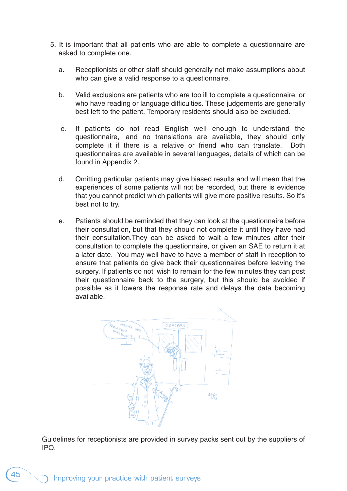- 5. It is important that all patients who are able to complete a questionnaire are asked to complete one.
	- a. Receptionists or other staff should generally not make assumptions about who can give a valid response to a questionnaire.
	- b. Valid exclusions are patients who are too ill to complete a questionnaire, or who have reading or language difficulties. These judgements are generally best left to the patient. Temporary residents should also be excluded.
	- c. If patients do not read English well enough to understand the questionnaire, and no translations are available, they should only complete it if there is a relative or friend who can translate. Both questionnaires are available in several languages, details of which can be found in Appendix 2.
	- d. Omitting particular patients may give biased results and will mean that the experiences of some patients will not be recorded, but there is evidence that you cannot predict which patients will give more positive results. So it's best not to try.
	- e. Patients should be reminded that they can look at the questionnaire before their consultation, but that they should not complete it until they have had their consultation.They can be asked to wait a few minutes after their consultation to complete the questionnaire, or given an SAE to return it at a later date. You may well have to have a member of staff in reception to ensure that patients do give back their questionnaires before leaving the surgery. If patients do not wish to remain for the few minutes they can post their questionnaire back to the surgery, but this should be avoided if possible as it lowers the response rate and delays the data becoming available.



Guidelines for receptionists are provided in survey packs sent out by the suppliers of IPQ.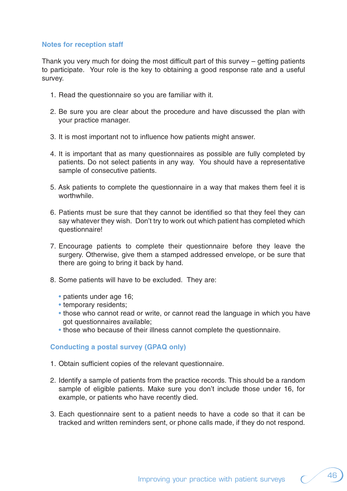#### **Notes for reception staff**

Thank you very much for doing the most difficult part of this survey – getting patients to participate. Your role is the key to obtaining a good response rate and a useful survey.

- 1. Read the questionnaire so you are familiar with it.
- 2. Be sure you are clear about the procedure and have discussed the plan with your practice manager.
- 3. It is most important not to influence how patients might answer.
- 4. It is important that as many questionnaires as possible are fully completed by patients. Do not select patients in any way. You should have a representative sample of consecutive patients.
- 5. Ask patients to complete the questionnaire in a way that makes them feel it is worthwhile.
- 6. Patients must be sure that they cannot be identified so that they feel they can say whatever they wish. Don't try to work out which patient has completed which questionnaire!
- 7. Encourage patients to complete their questionnaire before they leave the surgery. Otherwise, give them a stamped addressed envelope, or be sure that there are going to bring it back by hand.
- 8. Some patients will have to be excluded. They are:
	- patients under age 16;
	- temporary residents;
	- those who cannot read or write, or cannot read the language in which you have got questionnaires available;
	- those who because of their illness cannot complete the questionnaire.

## **Conducting a postal survey (GPAQ only)**

- 1. Obtain sufficient copies of the relevant questionnaire.
- 2. Identify a sample of patients from the practice records. This should be a random sample of eligible patients. Make sure you don't include those under 16, for example, or patients who have recently died.
- 3. Each questionnaire sent to a patient needs to have a code so that it can be tracked and written reminders sent, or phone calls made, if they do not respond.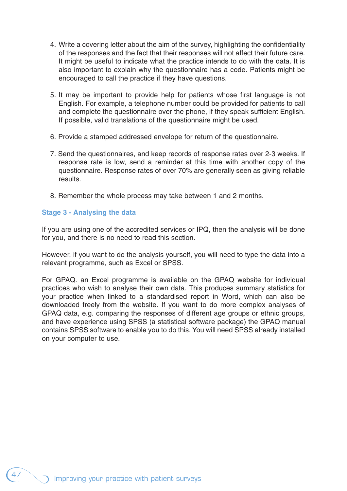- 4. Write a covering letter about the aim of the survey, highlighting the confidentiality of the responses and the fact that their responses will not affect their future care. It might be useful to indicate what the practice intends to do with the data. It is also important to explain why the questionnaire has a code. Patients might be encouraged to call the practice if they have questions.
- 5. It may be important to provide help for patients whose first language is not English. For example, a telephone number could be provided for patients to call and complete the questionnaire over the phone, if they speak sufficient English. If possible, valid translations of the questionnaire might be used.
- 6. Provide a stamped addressed envelope for return of the questionnaire.
- 7. Send the questionnaires, and keep records of response rates over 2-3 weeks. If response rate is low, send a reminder at this time with another copy of the questionnaire. Response rates of over 70% are generally seen as giving reliable results.
- 8. Remember the whole process may take between 1 and 2 months.

## **Stage 3 - Analysing the data**

If you are using one of the accredited services or IPQ, then the analysis will be done for you, and there is no need to read this section.

However, if you want to do the analysis yourself, you will need to type the data into a relevant programme, such as Excel or SPSS.

For GPAQ. an Excel programme is available on the GPAQ website for individual practices who wish to analyse their own data. This produces summary statistics for your practice when linked to a standardised report in Word, which can also be downloaded freely from the website. If you want to do more complex analyses of GPAQ data, e.g. comparing the responses of different age groups or ethnic groups, and have experience using SPSS (a statistical software package) the GPAQ manual contains SPSS software to enable you to do this. You will need SPSS already installed on your computer to use.

47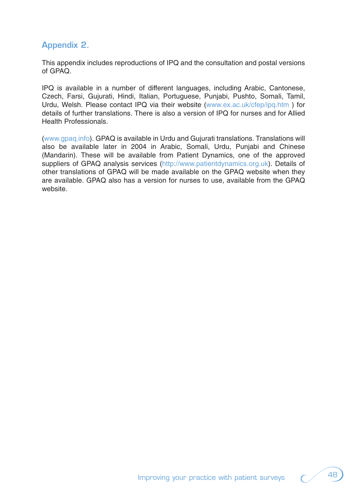## **Appendix 2.**

This appendix includes reproductions of IPQ and the consultation and postal versions of GPAQ.

IPQ is available in a number of different languages, including Arabic, Cantonese, Czech, Farsi, Gujurati, Hindi, Italian, Portuguese, Punjabi, Pushto, Somali, Tamil, Urdu, Welsh. Please contact IPQ via their website (www.ex.ac.uk/cfep/ipq.htm ) for details of further translations. There is also a version of IPQ for nurses and for Allied Health Professionals.

(www.gpaq.info). GPAQ is available in Urdu and Gujurati translations. Translations will also be available later in 2004 in Arabic, Somali, Urdu, Punjabi and Chinese (Mandarin). These will be available from Patient Dynamics, one of the approved suppliers of GPAQ analysis services (http://www.patientdynamics.org.uk). Details of other translations of GPAQ will be made available on the GPAQ website when they are available. GPAQ also has a version for nurses to use, available from the GPAQ website.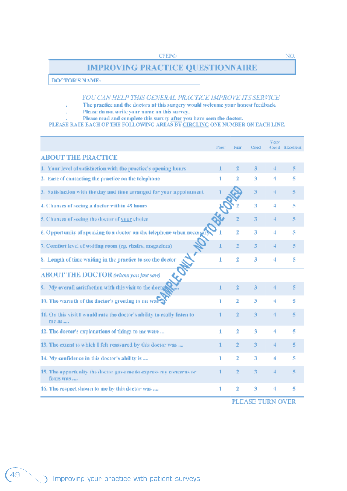## **IMPROVING PRACTICE QUESTIONNAIRE**

**DOCTOR'S NAME:** 

#### YOU CAN HELP THIS GENERAL PRACTICE IMPROVE ITS SERVICE

- The practice and the doctors at this surgery would welcome your honest feedback.
- Please do not write your name on this survey.
- 

Please read and complete this survey after you have seen the doctor.<br>PLEASE RATE EACH OF THE FOLLOWING AREAS BY CIRCLING ONE NUMBER ON EACH LINE.

|                                                                                  | Poor. | Fair | Good | Verv | Good Excellent |
|----------------------------------------------------------------------------------|-------|------|------|------|----------------|
| <b>ABOUT THE PRACTICE</b>                                                        |       |      |      |      |                |
| 1. Your level of satisfaction with the practice's opening hours                  | п     | 2    | 3    | 4    | 5              |
| 2. Ease of contacting the practice on the telephone                              |       | 2    | â    | 4    | ς              |
| 3. Satisfaction with the day and time arranged for your appointment              |       |      | Э    | 4    | 5              |
| 4. Chances of seeing a doctor within 48 hours                                    |       |      | з    | 4    | 5              |
| 5. Chances of seeing the doctor of your choice                                   |       | z    | 3    | 4    | 5              |
| 6. Opportunity of speaking to a doctor on the telephone when necessary           |       | 2    | 3    | 4    | 5              |
| 7. Comfort level of waiting room (eg, chairs, magazines).                        |       | 2    | 3    | 4    | 5              |
| 8. Length of time waiting in the practice to see the doctor                      | 1     | 2    | 3    | 4    | s              |
| <b>ABOUT THE DOCTOR</b> (relian you just save)                                   |       |      |      |      |                |
| 9. My overall satisfaction with this visit to the docto-                         | 1     | 2    | Э    | 4    | s              |
| 10. The warmth of the doctor's greeting to me was                                | 1     | 2    | э    | 4    | š              |
| 11. On this visit I would rate the doctor's ability to really listen to<br>me as |       | 2    | Э    | 4    | š              |
| 12. The doctor's explanations of things to me were                               | 1     | 2    | 3    | 4    | 5              |
| 13. The extent to which I felt reassured by this doctor was                      | 1     | 2    | э    | 4    | 5              |
| 14. My confidence in this doctor's ability is                                    | 1     | 2    | з    | 4    | ς              |
| 15. The opportunity the doctor gave me to express my concerns or<br>fenis was    |       | 2    | з    | 4    | 5              |
| 16. The respect shown to me by this doctor was                                   | 1     | 2    | э    | 4    | 5              |

PLEASE TURN OVER

NO.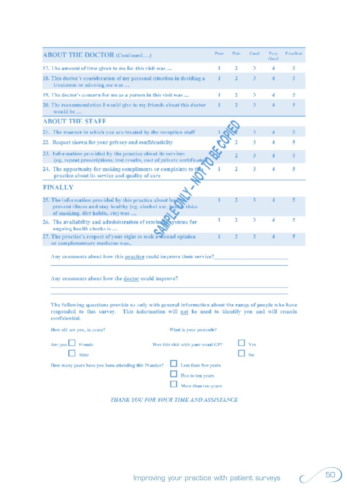| <b>ABOUT THE DOCTOR (Continued)</b>                                                                                                                                                                                 | Puur | Fair | Goud      | Very<br>Good | Freiglient |
|---------------------------------------------------------------------------------------------------------------------------------------------------------------------------------------------------------------------|------|------|-----------|--------------|------------|
| 17. The amount of time given to me for this visit was                                                                                                                                                               | ı    | z.   | з         | 4            | 5          |
| 18. This doctor's consideration of my personal situation in deciding a<br>treatment or advising me was                                                                                                              | ı    | 2    | 3         | 4            | 5          |
| 19. The doctor's concern for me as a person in this visit was                                                                                                                                                       | п    | ż.   | з         | 4            | 5          |
| 20. The recommendation I would give to my friends about this doctor<br>would be                                                                                                                                     |      | z.   | 3         | 4            | 5          |
| <b>ABOUT THE STAFF</b>                                                                                                                                                                                              |      |      |           |              |            |
| 21. The manner in which you are treated by the reception staff                                                                                                                                                      |      |      | 3         | 4            | 5          |
| 22. Respect shown for your privacy and confidentiality                                                                                                                                                              |      |      | 3         | 4            | 5          |
| 23. Information provided by the practice about its services<br>(eg. repeat prescriptions, test results, cost of private certificate                                                                                 |      |      | 3         |              | 5          |
| 24. The opportunity for making compliments or complaints to this<br>practice about its service and quality of care                                                                                                  |      | 2    | 3         | 4            | 5          |
| <b>FINALLY</b>                                                                                                                                                                                                      |      |      |           |              |            |
| 25. The information provided by this practice about hogy<br>prevent illness and stay healthy (eg. alcahol use, health risks<br>of smoking, dict habits, etc) was                                                    |      |      | 3         |              | 5          |
| 26. The availability and administration of reminency systems for<br>ongoing health checks is                                                                                                                        |      | ż    | 3         | 4            | 5          |
| 27. The practice's respect of your right to seek awkened opinion<br>or complementary medicine was                                                                                                                   |      | 2    | 3         |              | 4          |
| Any comments about how this practice could improve their service?                                                                                                                                                   |      |      |           |              |            |
| Any comments about how the doctor could improve?                                                                                                                                                                    |      |      |           |              |            |
| The following questions provide us only with general information about the range of people who have<br>responded to this survey. This information will not be used to identify you and will remain<br>confidential. |      |      |           |              |            |
| What is your postcode?<br>How old are you, in years?                                                                                                                                                                |      |      |           |              |            |
| Are you Labor Female<br>Was this visit with your usual GP?<br>Male<br>Less than five years<br>How many years have you heen attending this Proctice?                                                                 |      |      | Ves<br>Nn |              |            |
| Five to ten years<br>More than ten years                                                                                                                                                                            |      |      |           |              |            |

THANK YOU FOR YOUR TIME AND ASSISTANCE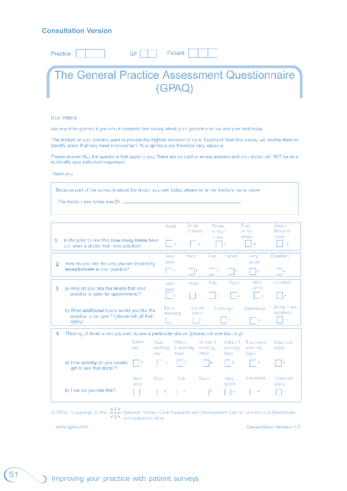## **Consultation Version**

|  | Practice   GP   Patient                       |        |  |  |
|--|-----------------------------------------------|--------|--|--|
|  | The General Practice Assessment Questionnaire |        |  |  |
|  |                                               | (GPAQ) |  |  |

#### Doar Patient

We would be gratabilityou would complete this survey shout your ganaral practice and your visit today.

The doctors at your practice want to provide the highast stendard of care. Feadback from this survey will enable them to identify areas that may need improvement. Your opinions are therefore very valuable.

Please answer ALL the questions that apply to you. There are no right or wrong answers and your doctor will NOT be able to identify your individual responses.

Thank you.

Because part of the survey is about the doctor you saw today, please write the doctor's name below

The ductor I saw today was Dr =

|   |                                                                                                            |                             | None                                    | Orce<br>on hydro-       | Three<br>or faut                                    | Five.<br>or six.               | Seven<br><b>Broas or</b>          |
|---|------------------------------------------------------------------------------------------------------------|-----------------------------|-----------------------------------------|-------------------------|-----------------------------------------------------|--------------------------------|-----------------------------------|
| 1 | In the past 12 months, how many times have<br>you seen a doctor from your practice?                        |                             | $\sim$ 1                                | $-2$                    | .1068<br>ö                                          | times<br><b>A</b>              | more<br>S.                        |
| 2 | How do you rate the way you are treated by                                                                 |                             | <b>Vary</b><br>poor                     | <b>Hoor</b>             | Good<br>Fair                                        | Very<br>ucod                   | Excellent                         |
|   | receptioniete at your practice?                                                                            |                             | $-1$                                    |                         |                                                     | н<br>l a                       | L.                                |
| 3 | a) How do you rate the hours that your                                                                     |                             | <b>Very</b>                             | Hope                    | Fair<br>Good                                        | Very.<br>ranodi                | Expellent                         |
|   | practice is open for appointments?                                                                         |                             | poor<br>$\sim$ 1                        | l ∣a                    | - 16                                                | $\sim$                         | ×                                 |
|   | b) What additional hours would you like the<br>practice to be open? (please tick all that<br><b>APPINT</b> |                             | Early:<br>marning                       | Lurch<br>times.<br>- 19 | Evenings                                            | Weekends                       | None, I am<br>satisfied<br>$\sim$ |
| 4 | Thinking of times when you want to see a particular doctor: (plaase tick one box only).                    |                             |                                         |                         |                                                     |                                |                                   |
|   |                                                                                                            | Same<br>Next<br>day.<br>dav | William<br>working<br>2 working<br>days | days                    | Within 3<br>Will in 4<br>working<br>versing<br>dewe | 5 or more.<br>work no.<br>daws | Does not<br>apply                 |
|   | a) How quickly de you usually<br>get to see that doctor?                                                   |                             |                                         |                         | 14<br>- 3                                           |                                | 17                                |
|   |                                                                                                            | Poor<br><b>Very</b>         | Fair                                    | Good                    | Very                                                | Excellent                      | Does not                          |
|   | b) I low do you rate this?                                                                                 | poor                        | z<br>- 2                                |                         | good<br>ы<br>١s                                     | ۰                              | app y<br>÷                        |

O GPAQ is copyright of the  $\frac{1}{\epsilon} \begin{vmatrix} 2 \\ 3 \end{vmatrix}$  National Primary Care Research and Development Centre. University of Manchester

www.gpaq.info

**Consultation Version 1.0**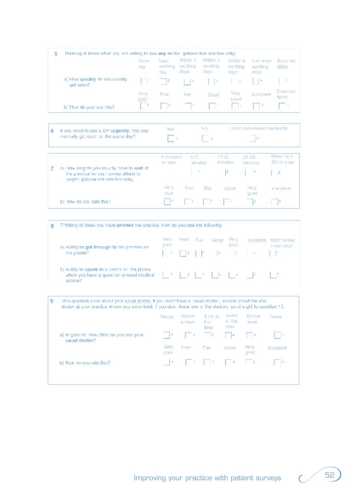|                                             | Same<br>day    | Next<br>warking<br>387 | Within 8<br>werking<br>days | Within S<br>working<br>days | Within 4<br>worlding<br>days                                                                                                                                                                                                                                                                  | 5 or more<br>working<br>days | Doce ript<br>apply |
|---------------------------------------------|----------------|------------------------|-----------------------------|-----------------------------|-----------------------------------------------------------------------------------------------------------------------------------------------------------------------------------------------------------------------------------------------------------------------------------------------|------------------------------|--------------------|
| a) How quickly do you usually.<br>get seen? | <b>COLLEGE</b> |                        |                             |                             | $\sqrt{2}$ , $\sqrt{2}$ , $\sqrt{2}$ , $\sqrt{2}$ , $\sqrt{2}$ , $\sqrt{2}$ , $\sqrt{2}$ , $\sqrt{2}$ , $\sqrt{2}$ , $\sqrt{2}$ , $\sqrt{2}$ , $\sqrt{2}$ , $\sqrt{2}$ , $\sqrt{2}$ , $\sqrt{2}$ , $\sqrt{2}$ , $\sqrt{2}$ , $\sqrt{2}$ , $\sqrt{2}$ , $\sqrt{2}$ , $\sqrt{2}$ , $\sqrt{2}$ , |                              |                    |
|                                             | Mary<br>poor   | Poor                   | Hain                        | Good                        | Very<br>cood                                                                                                                                                                                                                                                                                  | Excellent                    | Does not<br>gpoly  |
| b) How do you rate this?                    |                | $\sim$ 14              |                             |                             | <b>Britain Property Committee Property</b>                                                                                                                                                                                                                                                    |                              |                    |

| 6 If you need to see a GP urgently, can you | <b>BUCK</b> | Tion't know haver needed to |
|---------------------------------------------|-------------|-----------------------------|
| inormally get spen on the same day?         |             |                             |

|                                                                                                                            | b minutes.<br>$or$ $A$ 99 | 6-10- | minutes | 11-20<br>minutes                                                                                                                                                                                                                              | $21 - 50$<br>minutes | Meret than<br>30 minutes |
|----------------------------------------------------------------------------------------------------------------------------|---------------------------|-------|---------|-----------------------------------------------------------------------------------------------------------------------------------------------------------------------------------------------------------------------------------------------|----------------------|--------------------------|
| a) How long do you usually have to wait at<br>the practice for your consultations to<br>begin? (places fick one box only). | <b>State State</b>        |       |         |                                                                                                                                                                                                                                               |                      |                          |
|                                                                                                                            | Very<br>DOOR              | Popri | Fair    | Gand                                                                                                                                                                                                                                          | Very<br>quod         | Excelert                 |
| b) How do you rate this?                                                                                                   |                           |       |         | $\begin{bmatrix} 1 & 1 \end{bmatrix}$ , $\begin{bmatrix} 1 & 1 \end{bmatrix}$ , $\begin{bmatrix} 1 & 1 \end{bmatrix}$ , $\begin{bmatrix} 1 & 1 \end{bmatrix}$ , $\begin{bmatrix} 1 & 1 \end{bmatrix}$ , $\begin{bmatrix} 1 & 1 \end{bmatrix}$ | 15                   |                          |

| Thinking of times you have phoned the practice, how do you rate the following.                                                                                                                                                                                                                                                                                                          |               |  |                     |       |  |                                      |
|-----------------------------------------------------------------------------------------------------------------------------------------------------------------------------------------------------------------------------------------------------------------------------------------------------------------------------------------------------------------------------------------|---------------|--|---------------------|-------|--|--------------------------------------|
| a) Aplity to get through to the practice on.                                                                                                                                                                                                                                                                                                                                            | Very.<br>poor |  | Poor Fair Good Very | good. |  | Excellent Don't knowl<br>nover tried |
| the phone?                                                                                                                                                                                                                                                                                                                                                                              |               |  |                     |       |  |                                      |
| b) Ability to speak to a cooter on the phone.<br>when you have a question or need medical $\begin{bmatrix} -1 & 1 & 2 \end{bmatrix}$ $\begin{bmatrix} -2 & 1 & 8 \end{bmatrix}$ $\begin{bmatrix} 4 & 1 \end{bmatrix}$ $\begin{bmatrix} 4 & 1 \end{bmatrix}$ $\begin{bmatrix} 4 & 1 \end{bmatrix}$ $\begin{bmatrix} 2 & 1 \end{bmatrix}$ $\begin{bmatrix} 7 & 1 \end{bmatrix}$<br>adMoe? |               |  |                     |       |  |                                      |

| This question asks about your usual doctor. If you don't have a tusual doctor', answer about the one-         |
|---------------------------------------------------------------------------------------------------------------|
| dector at your practice whem you knew best. If you don , know any of the doctors, go straight to question 10. |

|                                                            | Abways       | Almast<br>a ways. | A lot of<br>the.<br>ernit                 | Sama<br>o' the<br>hme | Almost<br><b>TEVER</b> | Newar     |
|------------------------------------------------------------|--------------|-------------------|-------------------------------------------|-----------------------|------------------------|-----------|
| a) in general, how often do you see your.<br>usual doctor? |              |                   | $\Box$ $\rightarrow$ $\Box$ $\rightarrow$ |                       | $\sim$ $\sim$ $\sim$   | - 11      |
|                                                            | Very<br>poer | <b>Hoor</b>       | Fair                                      | Gapd                  | Very<br>gpon           | Excellent |
| <b>D)</b> How do you rate this?                            |              |                   |                                           |                       |                        |           |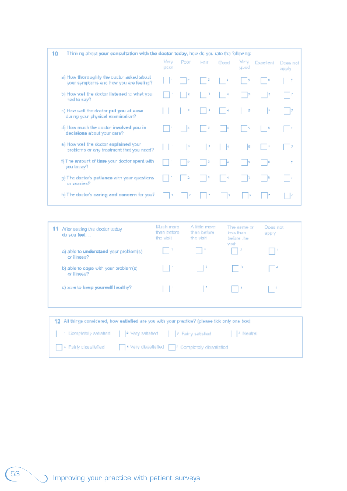| 10 | Thinking about your consultation with the doetor today, how do you rate the following: |              |                  |                      |                                                          |               |                         |                    |  |
|----|----------------------------------------------------------------------------------------|--------------|------------------|----------------------|----------------------------------------------------------|---------------|-------------------------|--------------------|--|
|    |                                                                                        | Very<br>poor | Poor             | Hair:                | Good                                                     | Very.<br>geod | <b>Excellent</b>        | Does not<br>apply. |  |
|    | a) How thereughly the codor asked about<br>your symptoms and how you are feeling?      |              | <b>The State</b> | $\sim$ $\frac{1}{2}$ | $-1$                                                     | LВ            | $\mathbf{U}=\mathbf{0}$ | -7                 |  |
|    | 5) How well the doctor listened to what you<br>had to say?                             |              | - 12             |                      | $\begin{array}{ccc} & \cdot & \cdot & \cdot \end{array}$ | $\sim$ 5      | $\mathbb{R}^n$          |                    |  |
|    | c) How well the doctor put you at ease.<br>Criciaminese leptysical exprimation?        |              | ×                |                      | $\sim$ 4                                                 | s,            | lк.                     | $\mathbb{R}$       |  |
|    | d) How much the cootor involved you in<br>decleiona about your cara?                   |              | $\sim$ 100       |                      | $-3$ $-1$                                                |               | 6                       |                    |  |
|    | a) How well the doctor explained your<br>problems or any treatment that you need?      |              | $\mathbb{R}^p$   | -12                  | - 1 H                                                    | 15            | 1 H                     | - 7                |  |
|    | f) The amount of time your doctor spent with<br>you today?                             |              |                  | - 12                 |                                                          | - la          | $\sim$ 10               | Ŧ.                 |  |
|    | g) The doctor's patience with your questions.<br>or worries?                           |              | $\sim$ 2         | - 13                 | <b>Control</b>                                           |               | $\sim$ 10               |                    |  |
|    | h) The doctor's caring and concern for you?                                            | - 11         | - 12             |                      |                                                          |               |                         | ЛX.                |  |

| 11. | Mer seeing the doctor today<br>do you feet.           | Much more<br>than before<br>the visit | A little more<br>than before<br>the visit                                                                                                                                                                                                                                                                                                                                                                                                                                                                                                                                           | The same or<br>less than<br>before the<br>Msih | Does not<br>app y |
|-----|-------------------------------------------------------|---------------------------------------|-------------------------------------------------------------------------------------------------------------------------------------------------------------------------------------------------------------------------------------------------------------------------------------------------------------------------------------------------------------------------------------------------------------------------------------------------------------------------------------------------------------------------------------------------------------------------------------|------------------------------------------------|-------------------|
|     | a) able to understand your problem(s).<br>or illness? |                                       |                                                                                                                                                                                                                                                                                                                                                                                                                                                                                                                                                                                     | 工学                                             |                   |
|     | b) able to cope with your problem(s).<br>or illness?  |                                       | $\begin{array}{ccc} \begin{array}{ccc} \end{array} & \begin{array}{ccc} \end{array} & \begin{array}{ccc} \end{array} & \begin{array}{ccc} \end{array} & \begin{array}{ccc} \end{array} & \begin{array}{ccc} \end{array} & \begin{array}{ccc} \end{array} & \begin{array}{ccc} \end{array} & \begin{array}{ccc} \end{array} & \begin{array}{ccc} \end{array} & \begin{array}{ccc} \end{array} & \begin{array}{ccc} \end{array} & \begin{array}{ccc} \end{array} & \begin{array}{ccc} \end{array} & \begin{array}{ccc} \end{array} & \begin{array}{ccc} \end{array} & \begin{array}{$ |                                                |                   |
|     | c) able to keep yourself healthy?                     |                                       | ココンティー アーティーロック                                                                                                                                                                                                                                                                                                                                                                                                                                                                                                                                                                     |                                                | n e               |
|     |                                                       |                                       |                                                                                                                                                                                                                                                                                                                                                                                                                                                                                                                                                                                     |                                                |                   |

| 12. All things considered, how satisfied are you with your practice? (please tick only one box). |  |                                                                                     |  |  |  |  |  |  |
|--------------------------------------------------------------------------------------------------|--|-------------------------------------------------------------------------------------|--|--|--|--|--|--|
|                                                                                                  |  | . Completely setisticit     2 Very setistied     3 Fairly satisfied       1 Neutral |  |  |  |  |  |  |
|                                                                                                  |  | □ Fairly cleanlisfied < < Nery dissalisfied < Complotely dissalisfied               |  |  |  |  |  |  |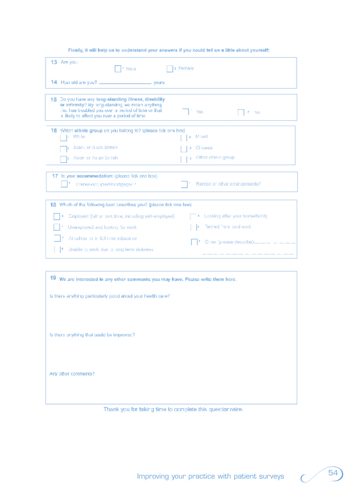| 13 Are you:<br><sup>1</sup> Maia                                                                                                                                                                               | ≄ Female                       |
|----------------------------------------------------------------------------------------------------------------------------------------------------------------------------------------------------------------|--------------------------------|
| 14 How old are you? _________________________ years                                                                                                                                                            |                                |
| 15 Do you have any long-standing illness, disability<br>or infirmity? By long-standing we mean anything<br>hat has troubled you over a beried of time or that<br>s likely to affect you over a period of time. | Yes<br>$2 - N0$                |
| 16 Which ethnic group colyou balong to? (please tick one box).<br>i Whte                                                                                                                                       | M xed<br>a                     |
| Black or Black British                                                                                                                                                                                         | Chinese                        |
| Asian or Asian British                                                                                                                                                                                         | Other ethnic group             |
| Is your accommodation: (please tick one box)<br>17                                                                                                                                                             |                                |
| Comer-nocupled/mortgagesc?                                                                                                                                                                                     | Rented or other errangements?  |
| 18. Which of the following best cescribes you? (please tick one box)                                                                                                                                           |                                |
| Employed (full or part time, including self-employed).                                                                                                                                                         | Looking after your home/family |
| Unemployed and looking for work                                                                                                                                                                                | Relifed from paid work         |
| At school or in full time education                                                                                                                                                                            |                                |
| Unable to work due to long term sickness                                                                                                                                                                       |                                |

Finally, it will help us to understand your answers if you could tell us a little about yourself:

Thank you for taking time to complete this questionnaire.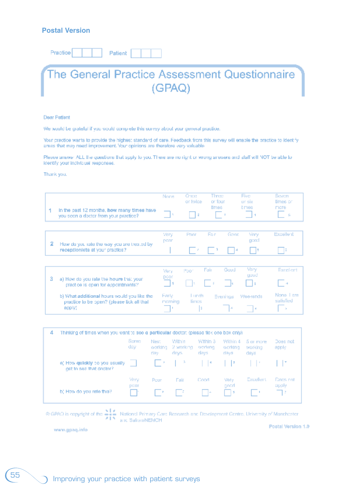#### **Postal Version**

Practice Patient



#### **Dear Patient**

We would be grateful if you would complete this survey about your general practice.

Your practice wants to provide the highest standard of care. Feedback from this survey will enable the practice to identify areas that may need improvement. Your opinions are therefore very valuable.

Please answer ALL the questions that apply to you. There are no right or wrong answers and staff will NOT be able to identify your individual responses.

Thank you.

|   |                                                                                          | Nore            | Quite<br>or twice | Three<br>or four         | Fion<br>or six | Seivern<br>times or   |
|---|------------------------------------------------------------------------------------------|-----------------|-------------------|--------------------------|----------------|-----------------------|
|   | In the cast 12 months, how many times have<br>you seen a doctor from your practice?      | - 13            | z                 | <b>times</b><br><b>1</b> | tmes           | mere<br>n.            |
| 2 |                                                                                          | Very<br>pann    | Poor              | Good<br>For.             | Very<br>poad   | Excellent             |
|   | How do you rate the way you are treated by<br>receptionists at your practice?            |                 |                   | - 14                     | 1. JE          |                       |
|   |                                                                                          | <b>Meny</b>     | Poor              | Fair<br>Gaod             | Vary<br>gaud   | Excellent             |
| з | a) How do you rate the hours that your<br>practice is open for appointments?             | poor            | T.                |                          |                | $\sim$ 100            |
|   | b) What additional hours would you like the<br>neading In he roan? (Nease lick all that: | Farly<br>moming | Lunch<br>times.   | Evenings                 | Weekends       | None Lam<br>salisfied |

p.

| 4<br>Thinking of times when you want to see a particular doctor: (please fick one box only). |                                                           |                |                                |                              |                                |                              |                                                                                                                                                                                                                                                                                               |                   |
|----------------------------------------------------------------------------------------------|-----------------------------------------------------------|----------------|--------------------------------|------------------------------|--------------------------------|------------------------------|-----------------------------------------------------------------------------------------------------------------------------------------------------------------------------------------------------------------------------------------------------------------------------------------------|-------------------|
|                                                                                              |                                                           | Same<br>dsy    | <b>Next</b><br>working<br>day. | Within<br>2 working<br>dras. | Within 3<br>working<br>rda y s | Within 4<br>working<br>days. | 5 or more<br>working<br>days                                                                                                                                                                                                                                                                  | Does not<br>apply |
|                                                                                              | a) How quickly co you usually.<br>get to see that doctor? | and the second |                                |                              |                                |                              | $\Box$ , $\Box$ , $\Box$ , $\Box$ , $\Box$ , $\Box$ , $\Box$ , $\Box$ , $\Box$ , $\Box$ , $\Box$ , $\Box$ , $\Box$ , $\Box$ , $\Box$ , $\Box$ , $\Box$ , $\Box$ , $\Box$ , $\Box$ , $\Box$ , $\Box$ , $\Box$ , $\Box$ , $\Box$ , $\Box$ , $\Box$ , $\Box$ , $\Box$ , $\Box$ , $\Box$ , $\Box$ |                   |
|                                                                                              |                                                           | Very<br>pitar  | Poor                           | Fair                         | Coad                           | <b>Mery</b><br>gnad          | Excellent                                                                                                                                                                                                                                                                                     | Docs not<br>apply |
|                                                                                              | b) How do you rate this?                                  | l P            | $\sim$ 1.8                     | $1 - 5$                      | 1 I A                          | - 13                         |                                                                                                                                                                                                                                                                                               | 17                |

 $\otimes$  GPAQ is expyright of the  $\sum_{i=1}^{n-1}$  National Primary Care Research and Development Contre, University of Manchaster

www.gpaq.info

apply!

Postal Version 1.0

De l

Ŀ.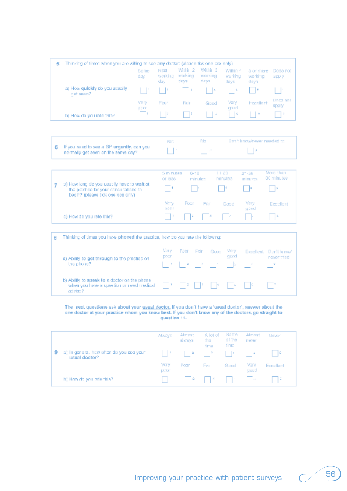| 5 | Thinking of times when you are willing to see any doctor: (please tick one cox only). |                          |                         |                              |                              |                             |                              |                   |
|---|---------------------------------------------------------------------------------------|--------------------------|-------------------------|------------------------------|------------------------------|-----------------------------|------------------------------|-------------------|
|   |                                                                                       | Same<br>day.             | Next<br>working<br>day. | Will in 2<br>warking<br>06/6 | Will in 3<br>working<br>days | Within <<br>working<br>days | 5 or more<br>working<br>daya | Does not<br>app y |
|   | a) How quickly do you usually.<br>pet ssen?                                           | 1   1   1   1            |                         | <b>Contract Contract</b>     | II In                        | <b>Contractor</b>           |                              |                   |
|   |                                                                                       | Very<br>ponn             | Poor                    | Felt                         | Good                         | Vary<br>mad                 | Excellent                    | Dops not<br>sppty |
|   | b) How do you rate this?                                                              | $\overline{\phantom{a}}$ | t in                    | mэ                           | - 14                         | t   s                       |                              | I 12              |

|                                                                                                 | Yetra | BUT. | Don't know/newer naedad to |
|-------------------------------------------------------------------------------------------------|-------|------|----------------------------|
| $\parallel$ 6 If you need to see a GP urgently, can you<br>inormally get seen on the same day?" |       |      |                            |

|                                                                                                                             | 5 minutes<br>or less | 6-10 | minutes | $11 - 23$<br>minutes            | $2 - 20$<br>minures | More than<br>30 minutes |
|-----------------------------------------------------------------------------------------------------------------------------|----------------------|------|---------|---------------------------------|---------------------|-------------------------|
| a) How long do you usually have to wait at<br>the practice for your consultations to<br>begin? (please tick one look only). |                      |      |         | $\mathbb{R}^n$ , $\mathbb{R}^n$ | <b>TEMP</b>         |                         |
|                                                                                                                             | Viery.<br>looor      | Pour | Far     | Gasci                           | Very<br>geod        | Excellent               |
| c) How do you rate this?                                                                                                    |                      |      |         | EN ESPERADO ES                  |                     |                         |

| Thinking of times you have phoned the practice, how co you rate the following:                        |                                                                   |              |  |  |  |                         |  |
|-------------------------------------------------------------------------------------------------------|-------------------------------------------------------------------|--------------|--|--|--|-------------------------|--|
| a) Ability to get through to the practice on.                                                         | Very<br>Poor Fair Good Very Excellent Don't know!<br>gcod<br>poor | never tried. |  |  |  |                         |  |
| the phone?                                                                                            |                                                                   |              |  |  |  |                         |  |
| b) Ability to speak to a doctor on the phone.<br>when you have a guestion or need medical.<br>advige? |                                                                   |              |  |  |  | THE TRIP IN THE INC. IT |  |

The next questions ask about your <u>usual doctor</u>. If you don't have a 'usual doctor', answer about the one doctor at your practice whom you know best. If you don't know any of the doctors, go straight to question  $11$ .

|   |                                                           | ANCVS        | Almost<br>siyaya | A lot of<br>the.<br>tima | Some<br>of the<br>timo | Almost<br>never | Newer     |
|---|-----------------------------------------------------------|--------------|------------------|--------------------------|------------------------|-----------------|-----------|
| 9 | a) In general, how often do you see your<br>usual doctor? |              | - 2              | <b>Contract State</b>    |                        |                 | -16       |
|   |                                                           | Very<br>D20f | Pogr             | Far.                     | Good                   | Very<br>guad    | Excallent |
|   | h) How do you rate this?                                  |              |                  |                          |                        | <b>Contract</b> | -14       |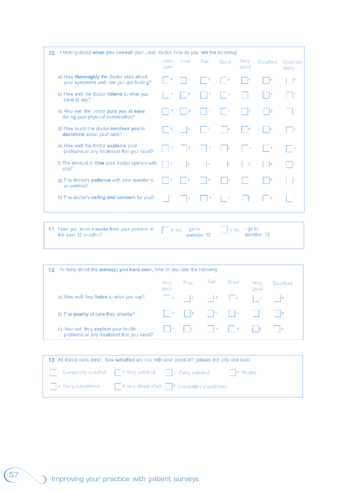| I hinking about when you consult your usual doctor, how do you rate the following: |              |             |                                           |                                                                    |              |           |                   |
|------------------------------------------------------------------------------------|--------------|-------------|-------------------------------------------|--------------------------------------------------------------------|--------------|-----------|-------------------|
|                                                                                    | Verv<br>COOL | <b>Boon</b> | Fair:                                     | Good                                                               | Mery<br>good | Excellent | Does not<br>apply |
| a) How thoroughly the doctor asks about<br>your symptoms and how you are feeling?  | II.          |             |                                           | I.                                                                 | Γŀ           |           | - 17              |
| b) How well the doctor listens to what you<br>have to say?                         |              |             | Þ                                         | $\sim 4$                                                           |              |           | l v               |
| c) How well the cootor puts you at ease.<br>during your physical examination?      |              |             | 1 I F                                     | 1 H                                                                | в            | 16        | <b>1999</b>       |
| d) How much the doctor involves you in<br>declaions about your care?               | $\sim$ 1     |             |                                           |                                                                    |              |           |                   |
| a) How well the doctor explains your<br>problems or any traatment that you need?   |              | $\sim$ 14   |                                           | 4                                                                  | $\sim$ 1     | l C       | $\sim 2$          |
| f) The amount of time your doctor spencs with<br>you?                              | - 19         | Ţz.         | $\mathbb{R}$                              | k.                                                                 | $\sim$ 1     | - 16      | - 17              |
| g) The doctor's patience with your questions.<br>or worries?                       |              | $\sim$ 2    | - 13                                      |                                                                    |              |           | Т×                |
| h) The doctor's caring and concern for you?                                        |              | B           | a                                         |                                                                    |              |           |                   |
|                                                                                    |              |             | $\mathbb{R}^n$<br>$\sim$ $\sim$ $\approx$ | $\mathbb{R}^{\mathbb{Z}^2}$<br>$\sim$ 100 $\pm$<br>$\sim 10^{-12}$ | 10000        |           |                   |

 $\uparrow\uparrow$  . Here, you, seem a nurse from your practice in the past 12 months?  $\Box$  > No. + 90 to<br>question 13  $=$   $\frac{1}{100}$   $\frac{1}{100}$   $\frac{1}{100}$   $\frac{1}{100}$ 

| 12                                                                                | Thinking about the nurse(s) you have seen, how do you rate the following: |             |                                                                                                         |                      |                           |           |
|-----------------------------------------------------------------------------------|---------------------------------------------------------------------------|-------------|---------------------------------------------------------------------------------------------------------|----------------------|---------------------------|-----------|
|                                                                                   | More<br><b>FIDCT</b>                                                      | Poor.       | Fair:                                                                                                   | Gapd                 | Very<br>peop              | Excellent |
| a) How well they listen to what you say?                                          |                                                                           |             | $\frac{1}{2}$ (1) $\frac{1}{2}$ (1) $\frac{1}{2}$ (1) $\frac{1}{2}$ (1) $\frac{1}{2}$ (1) $\frac{1}{2}$ |                      | $\mathbf{I}=\mathbf{I}$ . | $\sim$ 6  |
| b) The quality of care they provide?                                              |                                                                           | $1 - 1 - 2$ |                                                                                                         | <b>The Community</b> | <b>Contract</b>           | $\sim$ 18 |
| c) How well they explain your health.<br>problems or any treatment that you need? |                                                                           |             |                                                                                                         |                      |                           | $\sim$ 16 |

| 13 All things considered, how satisfied are you with your practice? (please tick only one box). |  |                                                                               |  |  |  |  |
|-------------------------------------------------------------------------------------------------|--|-------------------------------------------------------------------------------|--|--|--|--|
|                                                                                                 |  | Completely satisfied 2 Very satisfied 2 Fairly satisfied 2 Noutral            |  |  |  |  |
|                                                                                                 |  | io Fairly dissatisfied in its Very dissatisfied in T. Completely dissatisfied |  |  |  |  |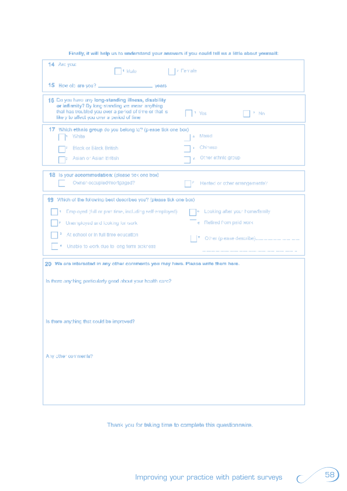| 14 Arc you:<br>4 Male                                                                                                                                                                                           | z Female                         |
|-----------------------------------------------------------------------------------------------------------------------------------------------------------------------------------------------------------------|----------------------------------|
| 15 How obtere you? _________________________ years                                                                                                                                                              |                                  |
| 16 Do you have any long-standing illness, disability<br>or infirmity? By long-standing we mean anything<br>that has troubled you over a period of time or that is<br>likely to affect you uver a period of lime | 1 Yes<br>* Nn                    |
| 17 Which ethnic group do you belong to? (please tick one box)<br>Vihite                                                                                                                                         | Moed<br>÷.                       |
| <b>Black or Black British</b>                                                                                                                                                                                   | Chinese                          |
| Asian or Asian British                                                                                                                                                                                          | p. Other ethnic group            |
| 18 Is your accommodation: (please tick one box)<br>Owner-occupied/mortgaged?                                                                                                                                    | Rented or other errangements?    |
| 19 Which of the following best describes you? (please tick one box)                                                                                                                                             |                                  |
| Employed (full ar part time, including self-employed).                                                                                                                                                          | . Looking after your home/femily |
| Unemployed and looking for work                                                                                                                                                                                 | e Retired from paid work         |
| At achool or in full time equcation.                                                                                                                                                                            |                                  |
| Unable to work due to long term sickness<br>٨                                                                                                                                                                   |                                  |
| 20 We are interested in any other comments you may have. Plasse write them here.<br>Is there anything particularly good about your health care?                                                                 |                                  |
|                                                                                                                                                                                                                 |                                  |
|                                                                                                                                                                                                                 |                                  |
| Is there anything that could be improved?                                                                                                                                                                       |                                  |
|                                                                                                                                                                                                                 |                                  |
| Any other comments?                                                                                                                                                                                             |                                  |
|                                                                                                                                                                                                                 |                                  |
|                                                                                                                                                                                                                 |                                  |
|                                                                                                                                                                                                                 |                                  |
|                                                                                                                                                                                                                 |                                  |

#### Finally, it will help us to understand your answers if you could tell us a little about yourself:

Thank you for taking time to complete this questionnaire.